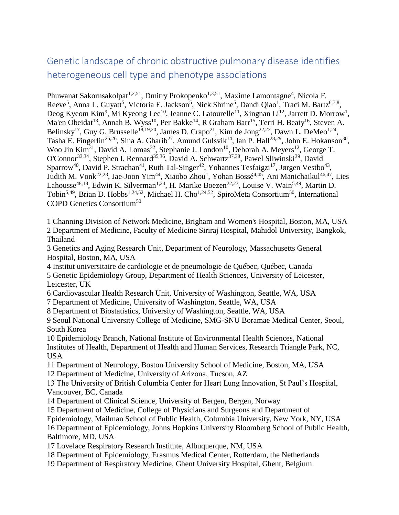# Genetic landscape of chronic obstructive pulmonary disease identifies heterogeneous cell type and phenotype associations

Phuwanat Sakornsakolpat<sup>1,2,51</sup>, Dmitry Prokopenko<sup>1,3,51</sup>, Maxime Lamontagne<sup>4</sup>, Nicola F. Reeve<sup>5</sup>, Anna L. Guyatt<sup>5</sup>, Victoria E. Jackson<sup>5</sup>, Nick Shrine<sup>5</sup>, Dandi Qiao<sup>1</sup>, Traci M. Bartz<sup>6,7,8</sup>, Deog Kyeom Kim<sup>9</sup>, Mi Kyeong Lee<sup>10</sup>, Jeanne C. Latourelle<sup>11</sup>, Xingnan Li<sup>12</sup>, Jarrett D. Morrow<sup>1</sup>, Ma'en Obeidat<sup>13</sup>, Annah B. Wyss<sup>10</sup>, Per Bakke<sup>14</sup>, R Graham Barr<sup>15</sup>, Terri H. Beaty<sup>16</sup>, Steven A. Belinsky<sup>17</sup>, Guy G. Brusselle<sup>18,19,20</sup>, James D. Crapo<sup>21</sup>, Kim de Jong<sup>22,23</sup>, Dawn L. DeMeo<sup>1,24</sup>, Tasha E. Fingerlin<sup>25,26</sup>, Sina A. Gharib<sup>27</sup>, Amund Gulsvik<sup>14</sup>, Ian P. Hall<sup>28,29</sup>, John E. Hokanson<sup>30</sup>, Woo Jin Kim<sup>31</sup>, David A. Lomas<sup>32</sup>, Stephanie J. London<sup>10</sup>, Deborah A. Meyers<sup>12</sup>, George T. O'Connor<sup>33,34</sup>, Stephen I. Rennard<sup>35,36</sup>, David A. Schwartz<sup>37,38</sup>, Pawel Sliwinski<sup>39</sup>, David Sparrow<sup>40</sup>, David P. Strachan<sup>41</sup>, Ruth Tal-Singer<sup>42</sup>, Yohannes Tesfaigzi<sup>17</sup>, Jørgen Vestbo<sup>43</sup>, Judith M. Vonk<sup>22,23</sup>, Jae-Joon Yim<sup>44</sup>, Xiaobo Zhou<sup>1</sup>, Yohan Bossé<sup>4,45</sup>, Ani Manichaikul<sup>46,47</sup>, Lies Lahousse<sup>48,18</sup>, Edwin K. Silverman<sup>1,24</sup>, H. Marike Boezen<sup>22,23</sup>, Louise V. Wain<sup>5,49</sup>, Martin D. Tobin<sup>5,49</sup>, Brian D. Hobbs<sup>1,24,52</sup>, Michael H. Cho<sup>1,24,52</sup>, SpiroMeta Consortium<sup>50</sup>, International COPD Genetics Consortium<sup>50</sup>

1 Channing Division of Network Medicine, Brigham and Women's Hospital, Boston, MA, USA 2 Department of Medicine, Faculty of Medicine Siriraj Hospital, Mahidol University, Bangkok, Thailand

3 Genetics and Aging Research Unit, Department of Neurology, Massachusetts General Hospital, Boston, MA, USA

4 Institut universitaire de cardiologie et de pneumologie de Québec, Québec, Canada

5 Genetic Epidemiology Group, Department of Health Sciences, University of Leicester, Leicester, UK

6 Cardiovascular Health Research Unit, University of Washington, Seattle, WA, USA

7 Department of Medicine, University of Washington, Seattle, WA, USA

8 Department of Biostatistics, University of Washington, Seattle, WA, USA

9 Seoul National University College of Medicine, SMG-SNU Boramae Medical Center, Seoul, South Korea

10 Epidemiology Branch, National Institute of Environmental Health Sciences, National Institutes of Health, Department of Health and Human Services, Research Triangle Park, NC, USA

11 Department of Neurology, Boston University School of Medicine, Boston, MA, USA

12 Department of Medicine, University of Arizona, Tucson, AZ

13 The University of British Columbia Center for Heart Lung Innovation, St Paul's Hospital, Vancouver, BC, Canada

14 Department of Clinical Science, University of Bergen, Bergen, Norway

15 Department of Medicine, College of Physicians and Surgeons and Department of

Epidemiology, Mailman School of Public Health, Columbia University, New York, NY, USA

16 Department of Epidemiology, Johns Hopkins University Bloomberg School of Public Health, Baltimore, MD, USA

- 17 Lovelace Respiratory Research Institute, Albuquerque, NM, USA
- 18 Department of Epidemiology, Erasmus Medical Center, Rotterdam, the Netherlands
- 19 Department of Respiratory Medicine, Ghent University Hospital, Ghent, Belgium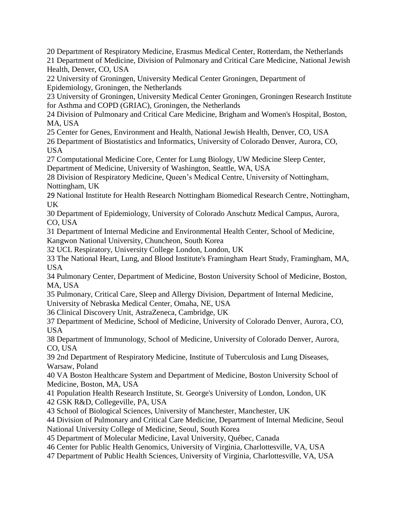20 Department of Respiratory Medicine, Erasmus Medical Center, Rotterdam, the Netherlands 21 Department of Medicine, Division of Pulmonary and Critical Care Medicine, National Jewish Health, Denver, CO, USA

22 University of Groningen, University Medical Center Groningen, Department of Epidemiology, Groningen, the Netherlands

23 University of Groningen, University Medical Center Groningen, Groningen Research Institute for Asthma and COPD (GRIAC), Groningen, the Netherlands

24 Division of Pulmonary and Critical Care Medicine, Brigham and Women's Hospital, Boston, MA, USA

25 Center for Genes, Environment and Health, National Jewish Health, Denver, CO, USA

26 Department of Biostatistics and Informatics, University of Colorado Denver, Aurora, CO, USA

27 Computational Medicine Core, Center for Lung Biology, UW Medicine Sleep Center, Department of Medicine, University of Washington, Seattle, WA, USA

28 Division of Respiratory Medicine, Queen's Medical Centre, University of Nottingham, Nottingham, UK

29 National Institute for Health Research Nottingham Biomedical Research Centre, Nottingham, UK

30 Department of Epidemiology, University of Colorado Anschutz Medical Campus, Aurora, CO, USA

31 Department of Internal Medicine and Environmental Health Center, School of Medicine, Kangwon National University, Chuncheon, South Korea

32 UCL Respiratory, University College London, London, UK

33 The National Heart, Lung, and Blood Institute's Framingham Heart Study, Framingham, MA, USA

34 Pulmonary Center, Department of Medicine, Boston University School of Medicine, Boston, MA, USA

35 Pulmonary, Critical Care, Sleep and Allergy Division, Department of Internal Medicine, University of Nebraska Medical Center, Omaha, NE, USA

36 Clinical Discovery Unit, AstraZeneca, Cambridge, UK

37 Department of Medicine, School of Medicine, University of Colorado Denver, Aurora, CO, USA

38 Department of Immunology, School of Medicine, University of Colorado Denver, Aurora, CO, USA

39 2nd Department of Respiratory Medicine, Institute of Tuberculosis and Lung Diseases, Warsaw, Poland

40 VA Boston Healthcare System and Department of Medicine, Boston University School of Medicine, Boston, MA, USA

41 Population Health Research Institute, St. George's University of London, London, UK 42 GSK R&D, Collegeville, PA, USA

43 School of Biological Sciences, University of Manchester, Manchester, UK

44 Division of Pulmonary and Critical Care Medicine, Department of Internal Medicine, Seoul National University College of Medicine, Seoul, South Korea

45 Department of Molecular Medicine, Laval University, Québec, Canada

46 Center for Public Health Genomics, University of Virginia, Charlottesville, VA, USA

47 Department of Public Health Sciences, University of Virginia, Charlottesville, VA, USA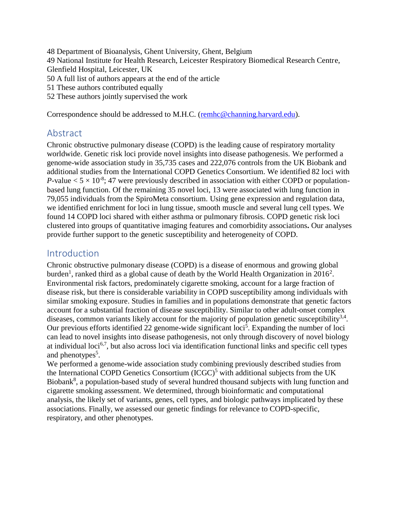Department of Bioanalysis, Ghent University, Ghent, Belgium National Institute for Health Research, Leicester Respiratory Biomedical Research Centre, Glenfield Hospital, Leicester, UK A full list of authors appears at the end of the article These authors contributed equally These authors jointly supervised the work

Correspondence should be addressed to M.H.C. [\(remhc@channing.harvard.edu\)](mailto:remhc@channing.harvard.edu).

# Abstract

Chronic obstructive pulmonary disease (COPD) is the leading cause of respiratory mortality worldwide. Genetic risk loci provide novel insights into disease pathogenesis. We performed a genome-wide association study in 35,735 cases and 222,076 controls from the UK Biobank and additional studies from the International COPD Genetics Consortium. We identified 82 loci with *P*-value  $< 5 \times 10^{-8}$ ; 47 were previously described in association with either COPD or populationbased lung function. Of the remaining 35 novel loci, 13 were associated with lung function in 79,055 individuals from the SpiroMeta consortium. Using gene expression and regulation data, we identified enrichment for loci in lung tissue, smooth muscle and several lung cell types. We found 14 COPD loci shared with either asthma or pulmonary fibrosis. COPD genetic risk loci clustered into groups of quantitative imaging features and comorbidity associations**.** Our analyses provide further support to the genetic susceptibility and heterogeneity of COPD.

## Introduction

Chronic obstructive pulmonary disease (COPD) is a disease of enormous and growing global burden<sup>1</sup>, ranked third as a global cause of death by the World Health Organization in 2016<sup>2</sup>. Environmental risk factors, predominately cigarette smoking, account for a large fraction of disease risk, but there is considerable variability in COPD susceptibility among individuals with similar smoking exposure. Studies in families and in populations demonstrate that genetic factors account for a substantial fraction of disease susceptibility. Similar to other adult-onset complex diseases, common variants likely account for the majority of population genetic susceptibility $3,4$ . Our previous efforts identified 22 genome-wide significant loci<sup>5</sup>. Expanding the number of loci can lead to novel insights into disease pathogenesis, not only through discovery of novel biology at individual loci<sup>6,7</sup>, but also across loci via identification functional links and specific cell types and phenotypes<sup>5</sup>.

We performed a genome-wide association study combining previously described studies from the International COPD Genetics Consortium  $(ICGC)^5$  with additional subjects from the UK Biobank<sup>8</sup>, a population-based study of several hundred thousand subjects with lung function and cigarette smoking assessment. We determined, through bioinformatic and computational analysis, the likely set of variants, genes, cell types, and biologic pathways implicated by these associations. Finally, we assessed our genetic findings for relevance to COPD-specific, respiratory, and other phenotypes.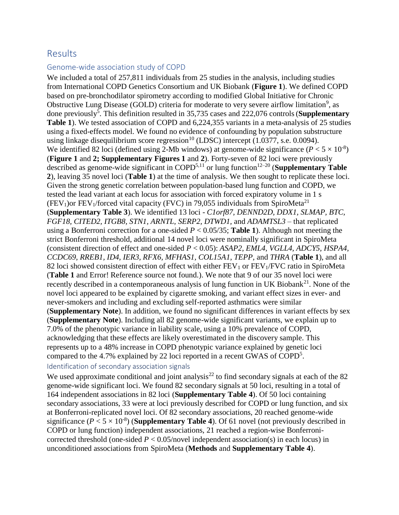# Results

#### Genome-wide association study of COPD

We included a total of 257,811 individuals from 25 studies in the analysis, including studies from International COPD Genetics Consortium and UK Biobank (**Figure 1**). We defined COPD based on pre-bronchodilator spirometry according to modified Global Initiative for Chronic Obstructive Lung Disease (GOLD) criteria for moderate to very severe airflow limitation<sup>9</sup>, as done previously<sup>5</sup>. This definition resulted in 35,735 cases and 222,076 controls (**Supplementary Table 1**). We tested association of COPD and 6,224,355 variants in a meta-analysis of 25 studies using a fixed-effects model. We found no evidence of confounding by population substructure using linkage disequilibrium score regression<sup>10</sup> (LDSC) intercept  $(1.0377, s.e. 0.0094)$ . We identified 82 loci (defined using 2-Mb windows) at genome-wide significance  $(P < 5 \times 10^{-8})$ (**Figure 1** and **2; Supplementary Figures 1** and **2**). Forty-seven of 82 loci were previously described as genome-wide significant in COPD<sup>5,11</sup> or lung function<sup>12–20</sup> (**Supplementary Table 2**), leaving 35 novel loci (**Table 1**) at the time of analysis. We then sought to replicate these loci. Given the strong genetic correlation between population-based lung function and COPD, we tested the lead variant at each locus for association with forced expiratory volume in 1 s (FEV<sub>1</sub>)or FEV<sub>1</sub>/forced vital capacity (FVC) in 79,055 individuals from SpiroMeta<sup>21</sup> (**Supplementary Table 3**). We identified 13 loci - *C1orf87, DENND2D, DDX1, SLMAP, BTC, FGF18, CITED2, ITGB8, STN1, ARNTL, SERP2, DTWD1,* and *ADAMTSL3 –* that replicated using a Bonferroni correction for a one-sided  $P < 0.05/35$ ; Table 1). Although not meeting the strict Bonferroni threshold, additional 14 novel loci were nominally significant in SpiroMeta (consistent direction of effect and one-sided *P* < 0.05): *ASAP2, EML4, VGLL4, ADCY5, HSPA4, CCDC69, RREB1, ID4, IER3, RFX6, MFHAS1, COL15A1, TEPP,* and *THRA* (**Table 1**), and all 82 loci showed consistent direction of effect with either  $FEV<sub>1</sub>$  or  $FEV<sub>1</sub>/FVC$  ratio in SpiroMeta (**Table 1** and Error! Reference source not found.). We note that 9 of our 35 novel loci were recently described in a contemporaneous analysis of lung function in UK Biobank<sup>21</sup>. None of the novel loci appeared to be explained by cigarette smoking, and variant effect sizes in ever- and never-smokers and including and excluding self-reported asthmatics were similar (**Supplementary Note**). In addition, we found no significant differences in variant effects by sex (**Supplementary Note**). Including all 82 genome-wide significant variants, we explain up to 7.0% of the phenotypic variance in liability scale, using a 10% prevalence of COPD, acknowledging that these effects are likely overestimated in the discovery sample. This represents up to a 48% increase in COPD phenotypic variance explained by genetic loci compared to the 4.7% explained by 22 loci reported in a recent GWAS of COPD<sup>5</sup>. Identification of secondary association signals

We used approximate conditional and joint analysis<sup>22</sup> to find secondary signals at each of the 82 genome-wide significant loci. We found 82 secondary signals at 50 loci, resulting in a total of 164 independent associations in 82 loci (**Supplementary Table 4**). Of 50 loci containing secondary associations, 33 were at loci previously described for COPD or lung function, and six at Bonferroni-replicated novel loci. Of 82 secondary associations, 20 reached genome-wide significance  $(P < 5 \times 10^{-8})$  (**Supplementary Table 4**). Of 61 novel (not previously described in COPD or lung function) independent associations, 21 reached a region-wise Bonferronicorrected threshold (one-sided  $P < 0.05$ /novel independent association(s) in each locus) in unconditioned associations from SpiroMeta (**Methods** and **Supplementary Table 4**).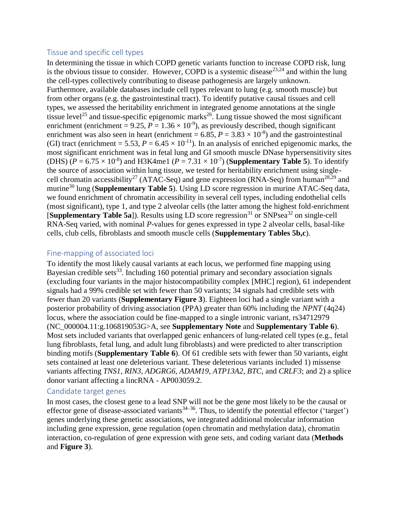#### Tissue and specific cell types

In determining the tissue in which COPD genetic variants function to increase COPD risk, lung is the obvious tissue to consider. However, COPD is a systemic disease<sup>23,24</sup> and within the lung the cell-types collectively contributing to disease pathogenesis are largely unknown. Furthermore, available databases include cell types relevant to lung (e.g. smooth muscle) but from other organs (e.g. the gastrointestinal tract). To identify putative causal tissues and cell types, we assessed the heritability enrichment in integrated genome annotations at the single tissue level<sup>25</sup> and tissue-specific epigenomic marks<sup>26</sup>. Lung tissue showed the most significant enrichment (enrichment =  $9.25$ ,  $P = 1.36 \times 10^{-9}$ ), as previously described, though significant enrichment was also seen in heart (enrichment =  $6.85$ ,  $P = 3.83 \times 10^{-8}$ ) and the gastrointestinal (GI) tract (enrichment = 5.53,  $P = 6.45 \times 10^{-11}$ ). In an analysis of enriched epigenomic marks, the most significant enrichment was in fetal lung and GI smooth muscle DNase hypersensitivity sites (DHS) ( $P = 6.75 \times 10^{-8}$ ) and H3K4me1 ( $P = 7.31 \times 10^{-7}$ ) (**Supplementary Table 5**). To identify the source of association within lung tissue, we tested for heritability enrichment using singlecell chromatin accessibility<sup>27</sup> (ATAC-Seq) and gene expression (RNA-Seq) from human<sup>28,29</sup> and murine<sup>30</sup> lung (**Supplementary Table 5**). Using LD score regression in murine ATAC-Seq data, we found enrichment of chromatin accessibility in several cell types, including endothelial cells (most significant), type 1, and type 2 alveolar cells (the latter among the highest fold-enrichment [**Supplementary Table 5a**]). Results using LD score regression<sup>31</sup> or SNPsea<sup>32</sup> on single-cell RNA-Seq varied, with nominal *P*-values for genes expressed in type 2 alveolar cells, basal-like cells, club cells, fibroblasts and smooth muscle cells (**Supplementary Tables 5b,c**).

#### Fine-mapping of associated loci

To identify the most likely causal variants at each locus, we performed fine mapping using Bayesian credible sets<sup>33</sup>. Including 160 potential primary and secondary association signals (excluding four variants in the major histocompatibility complex [MHC] region), 61 independent signals had a 99% credible set with fewer than 50 variants; 34 signals had credible sets with fewer than 20 variants (**Supplementary Figure 3**). Eighteen loci had a single variant with a posterior probability of driving association (PPA) greater than 60% including the *NPNT* (4q24) locus, where the association could be fine-mapped to a single intronic variant, rs34712979 (NC\_000004.11:g.106819053G>A, see **Supplementary Note** and **Supplementary Table 6**). Most sets included variants that overlapped genic enhancers of lung-related cell types (e.g., fetal lung fibroblasts, fetal lung, and adult lung fibroblasts) and were predicted to alter transcription binding motifs (**Supplementary Table 6**). Of 61 credible sets with fewer than 50 variants, eight sets contained at least one deleterious variant. These deleterious variants included 1) missense variants affecting *TNS1, RIN3, ADGRG6, ADAM19, ATP13A2, BTC*, and *CRLF3*; and 2) a splice donor variant affecting a lincRNA - AP003059.2.

#### Candidate target genes

In most cases, the closest gene to a lead SNP will not be the gene most likely to be the causal or effector gene of disease-associated variants<sup>34–36</sup>. Thus, to identify the potential effector ('target') genes underlying these genetic associations, we integrated additional molecular information including gene expression, gene regulation (open chromatin and methylation data), chromatin interaction, co-regulation of gene expression with gene sets, and coding variant data (**Methods** and **Figure 3**).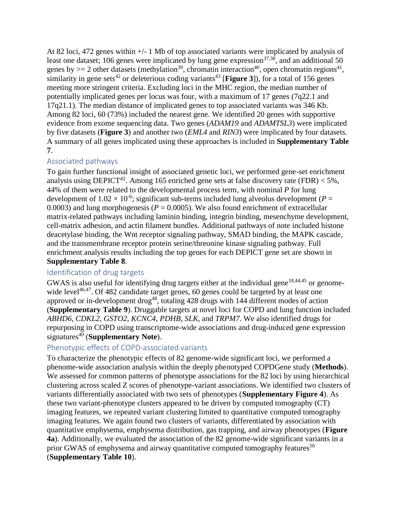At 82 loci, 472 genes within +/- 1 Mb of top associated variants were implicated by analysis of least one dataset; 106 genes were implicated by lung gene expression<sup>37,38</sup>, and an additional 50 genes by  $>= 2$  other datasets (methylation<sup>39</sup>, chromatin interaction<sup>40</sup>, open chromatin regions<sup>41</sup>, similarity in gene sets<sup>42</sup> or deleterious coding variants<sup>43</sup> [Figure 3]), for a total of 156 genes meeting more stringent criteria. Excluding loci in the MHC region, the median number of potentially implicated genes per locus was four, with a maximum of 17 genes (7q22.1 and 17q21.1). The median distance of implicated genes to top associated variants was 346 Kb. Among 82 loci, 60 (73%) included the nearest gene. We identified 20 genes with supportive evidence from exome sequencing data. Two genes (*ADAM19* and *ADAMTSL3*) were implicated by five datasets (**Figure 3**) and another two (*EML4* and *RIN3*) were implicated by four datasets. A summary of all genes implicated using these approaches is included in **Supplementary Table 7**.

## Associated pathways

To gain further functional insight of associated genetic loci, we performed gene-set enrichment analysis using DEPICT<sup>42</sup>. Among 165 enriched gene sets at false discovery rate (FDR) < 5%, 44% of them were related to the developmental process term, with nominal *P* for lung development of  $1.02 \times 10^{-6}$ ; significant sub-terms included lung alveolus development (*P* = 0.0003) and lung morphogenesis ( $P = 0.0005$ ). We also found enrichment of extracellular matrix-related pathways including laminin binding, integrin binding, mesenchyme development, cell-matrix adhesion, and actin filament bundles. Additional pathways of note included histone deacetylase binding, the Wnt receptor signaling pathway, SMAD binding, the MAPK cascade, and the transmembrane receptor protein serine/threonine kinase signaling pathway. Full enrichment analysis results including the top genes for each DEPICT gene set are shown in **Supplementary Table 8**.

### Identification of drug targets

GWAS is also useful for identifying drug targets either at the individual gene<sup>18,44,45</sup> or genomewide level<sup>46,47</sup>. Of 482 candidate target genes, 60 genes could be targeted by at least one approved or in-development drug<sup>48</sup>, totaling 428 drugs with 144 different modes of action (**Supplementary Table 9**). Druggable targets at novel loci for COPD and lung function included *ABHD6, CDKL2, GSTO2, KCNC4*, *PDHB*, *SLK*, and *TRPM7*. We also identified drugs for repurposing in COPD using transcriptome-wide associations and drug-induced gene expression signatures<sup>49</sup> (**Supplementary Note**).

### Phenotypic effects of COPD-associated variants

To characterize the phenotypic effects of 82 genome-wide significant loci, we performed a phenome-wide association analysis within the deeply phenotyped COPDGene study (**Methods**). We assessed for common patterns of phenotype associations for the 82 loci by using hierarchical clustering across scaled Z scores of phenotype-variant associations. We identified two clusters of variants differentially associated with two sets of phenotypes (**Supplementary Figure 4**). As these two variant-phenotype clusters appeared to be driven by computed tomography (CT) imaging features, we repeated variant clustering limited to quantitative computed tomography imaging features. We again found two clusters of variants, differentiated by association with quantitative emphysema, emphysema distribution, gas trapping, and airway phenotypes (**Figure 4a**). Additionally, we evaluated the association of the 82 genome-wide significant variants in a prior GWAS of emphysema and airway quantitative computed tomography features<sup>50</sup> (**Supplementary Table 10**).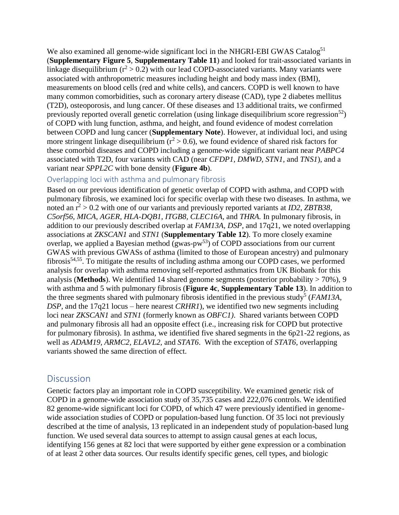We also examined all genome-wide significant loci in the NHGRI-EBI GWAS Catalog<sup>51</sup> (**Supplementary Figure 5**, **Supplementary Table 11**) and looked for trait-associated variants in linkage disequilibrium  $(r^2 > 0.2)$  with our lead COPD-associated variants. Many variants were associated with anthropometric measures including height and body mass index (BMI), measurements on blood cells (red and white cells), and cancers. COPD is well known to have many common comorbidities, such as coronary artery disease (CAD), type 2 diabetes mellitus (T2D), osteoporosis, and lung cancer. Of these diseases and 13 additional traits, we confirmed previously reported overall genetic correlation (using linkage disequilibrium score regression<sup>52</sup>) of COPD with lung function, asthma, and height, and found evidence of modest correlation between COPD and lung cancer (**Supplementary Note**). However, at individual loci, and using more stringent linkage disequilibrium  $(r^2 > 0.6)$ , we found evidence of shared risk factors for these comorbid diseases and COPD including a genome-wide significant variant near *PABPC4* associated with T2D, four variants with CAD (near *CFDP1, DMWD, STN1*, and *TNS1*), and a variant near *SPPL2C* with bone density (**Figure 4b**).

#### Overlapping loci with asthma and pulmonary fibrosis

Based on our previous identification of genetic overlap of COPD with asthma, and COPD with pulmonary fibrosis, we examined loci for specific overlap with these two diseases. In asthma, we noted an  $r^2 > 0.2$  with one of our variants and previously reported variants at *ID2*, *ZBTB38*, *C5orf56, MICA, AGER, HLA-DQB1, ITGB8, CLEC16A,* and *THRA.* In pulmonary fibrosis, in addition to our previously described overlap at *FAM13A*, *DSP*, and 17q21, we noted overlapping associations at *ZKSCAN1* and *STN1* (**Supplementary Table 12**). To more closely examine overlap, we applied a Bayesian method (gwas-pw $^{53}$ ) of COPD associations from our current GWAS with previous GWASs of asthma (limited to those of European ancestry) and pulmonary fibrosis<sup>54,55</sup>. To mitigate the results of including asthma among our COPD cases, we performed analysis for overlap with asthma removing self-reported asthmatics from UK Biobank for this analysis (**Methods**). We identified 14 shared genome segments (posterior probability > 70%), 9 with asthma and 5 with pulmonary fibrosis (**Figure 4c**, **Supplementary Table 13**). In addition to the three segments shared with pulmonary fibrosis identified in the previous study<sup>5</sup> ( $FAM13A$ , *DSP,* and the 17q21 locus – here nearest *CRHR1*), we identified two new segments including loci near *ZKSCAN1* and *STN1* (formerly known as *OBFC1)*. Shared variants between COPD and pulmonary fibrosis all had an opposite effect (i.e., increasing risk for COPD but protective for pulmonary fibrosis). In asthma, we identified five shared segments in the 6p21-22 regions, as well as *ADAM19, ARMC2, ELAVL2,* and *STAT6*. With the exception of *STAT6*, overlapping variants showed the same direction of effect.

## **Discussion**

Genetic factors play an important role in COPD susceptibility. We examined genetic risk of COPD in a genome-wide association study of 35,735 cases and 222,076 controls. We identified 82 genome-wide significant loci for COPD, of which 47 were previously identified in genomewide association studies of COPD or population-based lung function. Of 35 loci not previously described at the time of analysis, 13 replicated in an independent study of population-based lung function. We used several data sources to attempt to assign causal genes at each locus, identifying 156 genes at 82 loci that were supported by either gene expression or a combination of at least 2 other data sources. Our results identify specific genes, cell types, and biologic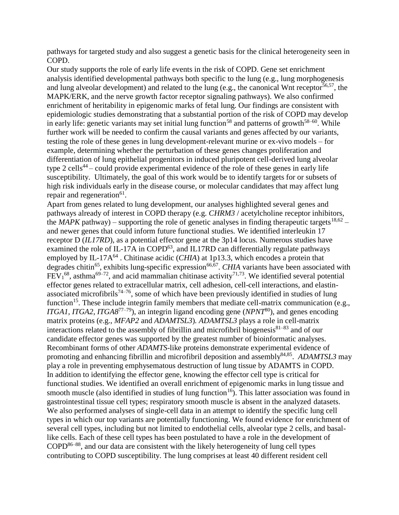pathways for targeted study and also suggest a genetic basis for the clinical heterogeneity seen in COPD.

Our study supports the role of early life events in the risk of COPD. Gene set enrichment analysis identified developmental pathways both specific to the lung (e.g., lung morphogenesis and lung alveolar development) and related to the lung (e.g., the canonical Wnt receptor<sup>56,57</sup>, the MAPK/ERK, and the nerve growth factor receptor signaling pathways). We also confirmed enrichment of heritability in epigenomic marks of fetal lung. Our findings are consistent with epidemiologic studies demonstrating that a substantial portion of the risk of COPD may develop in early life: genetic variants may set initial lung function<sup>58</sup> and patterns of growth<sup>58–60</sup>. While further work will be needed to confirm the causal variants and genes affected by our variants, testing the role of these genes in lung development-relevant murine or ex-vivo models – for example, determining whether the perturbation of these genes changes proliferation and differentiation of lung epithelial progenitors in induced pluripotent cell-derived lung alveolar type 2 cells 44 – could provide experimental evidence of the role of these genes in early life susceptibility. Ultimately, the goal of this work would be to identify targets for or subsets of high risk individuals early in the disease course, or molecular candidates that may affect lung repair and regeneration<sup>61</sup>.

Apart from genes related to lung development, our analyses highlighted several genes and pathways already of interest in COPD therapy (e.g. *CHRM3* / acetylcholine receptor inhibitors, the *MAPK* pathway) – supporting the role of genetic analyses in finding therapeutic targets  $18,62$  – and newer genes that could inform future functional studies. We identified interleukin 17 receptor D (*IL17RD*), as a potential effector gene at the 3p14 locus. Numerous studies have examined the role of IL-17A in COPD $^{63}$ , and IL17RD can differentially regulate pathways employed by IL-17 $A^{64}$ . Chitinase acidic (*CHIA*) at 1p13.3, which encodes a protein that degrades chitin<sup>65</sup>, exhibits lung-specific expression<sup>66,67</sup>. CHIA variants have been associated with  $FEV<sub>1</sub><sup>68</sup>$ , asthma<sup>69–72</sup>, and acid mammalian chitinase activity<sup>71,73</sup>. We identified several potential effector genes related to extracellular matrix, cell adhesion, cell-cell interactions, and elastinassociated microfibrils<sup>74–76</sup>, some of which have been previously identified in studies of lung function<sup>15</sup>. These include integrin family members that mediate cell-matrix communication (e.g., *ITGA1, ITGA2*, *ITGA8*77–79), an integrin ligand encoding gene (*NPNT*<sup>80</sup>), and genes encoding matrix proteins (e.g., *MFAP2* and *ADAMTSL3*)*. ADAMTSL3* plays a role in cell-matrix interactions related to the assembly of fibrillin and microfibril biogenesis $81-83$  and of our candidate effector genes was supported by the greatest number of bioinformatic analyses. Recombinant forms of other *ADAMTS*-like proteins demonstrate experimental evidence of promoting and enhancing fibrillin and microfibril deposition and assembly<sup>84,85</sup>. ADAMTSL3 may play a role in preventing emphysematous destruction of lung tissue by ADAMTS in COPD. In addition to identifying the effector gene, knowing the effector cell type is critical for functional studies. We identified an overall enrichment of epigenomic marks in lung tissue and smooth muscle (also identified in studies of lung function<sup>16</sup>). This latter association was found in gastrointestinal tissue cell types; respiratory smooth muscle is absent in the analyzed datasets. We also performed analyses of single-cell data in an attempt to identify the specific lung cell types in which our top variants are potentially functioning. We found evidence for enrichment of several cell types, including but not limited to endothelial cells, alveolar type 2 cells, and basallike cells. Each of these cell types has been postulated to have a role in the development of  $COPD<sup>86-88</sup>$ , and our data are consistent with the likely heterogeneity of lung cell types contributing to COPD susceptibility. The lung comprises at least 40 different resident cell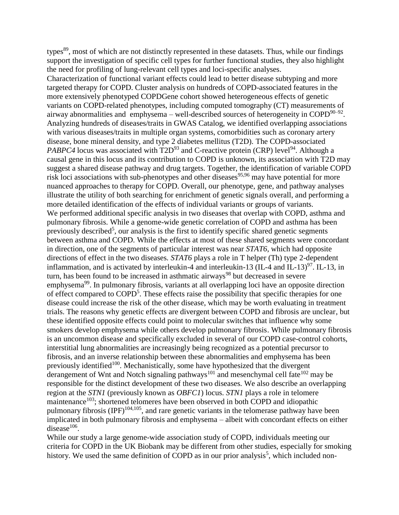types<sup>89</sup>, most of which are not distinctly represented in these datasets. Thus, while our findings support the investigation of specific cell types for further functional studies, they also highlight the need for profiling of lung-relevant cell types and loci-specific analyses.

Characterization of functional variant effects could lead to better disease subtyping and more targeted therapy for COPD. Cluster analysis on hundreds of COPD-associated features in the more extensively phenotyped COPDGene cohort showed heterogeneous effects of genetic variants on COPD-related phenotypes, including computed tomography (CT) measurements of airway abnormalities and emphysema – well-described sources of heterogeneity in COPD $^{90-92}$ . Analyzing hundreds of diseases/traits in GWAS Catalog, we identified overlapping associations with various diseases/traits in multiple organ systems, comorbidities such as coronary artery disease, bone mineral density, and type 2 diabetes mellitus (T2D). The COPD-associated *PABPC4* locus was associated with  $T2D<sup>93</sup>$  and C-reactive protein (CRP) level<sup>94</sup>. Although a causal gene in this locus and its contribution to COPD is unknown, its association with T2D may suggest a shared disease pathway and drug targets. Together, the identification of variable COPD risk loci associations with sub-phenotypes and other diseases  $95,96$  may have potential for more nuanced approaches to therapy for COPD. Overall, our phenotype, gene, and pathway analyses illustrate the utility of both searching for enrichment of genetic signals overall, and performing a more detailed identification of the effects of individual variants or groups of variants. We performed additional specific analysis in two diseases that overlap with COPD, asthma and pulmonary fibrosis. While a genome-wide genetic correlation of COPD and asthma has been previously described<sup>5</sup>, our analysis is the first to identify specific shared genetic segments between asthma and COPD. While the effects at most of these shared segments were concordant in direction, one of the segments of particular interest was near *STAT6*, which had opposite directions of effect in the two diseases. *STAT6* plays a role in T helper (Th) type 2-dependent inflammation, and is activated by interleukin-4 and interleukin-13 (IL-4 and IL-13) $\frac{97}{7}$ . IL-13, in turn, has been found to be increased in asthmatic airways<sup>98</sup> but decreased in severe emphysema<sup>99</sup>. In pulmonary fibrosis, variants at all overlapping loci have an opposite direction of effect compared to COPD<sup>5</sup>. These effects raise the possibility that specific therapies for one disease could increase the risk of the other disease, which may be worth evaluating in treatment trials. The reasons why genetic effects are divergent between COPD and fibrosis are unclear, but these identified opposite effects could point to molecular switches that influence why some smokers develop emphysema while others develop pulmonary fibrosis. While pulmonary fibrosis is an uncommon disease and specifically excluded in several of our COPD case-control cohorts, interstitial lung abnormalities are increasingly being recognized as a potential precursor to fibrosis, and an inverse relationship between these abnormalities and emphysema has been previously identified<sup>100</sup>. Mechanistically, some have hypothesized that the divergent derangement of Wnt and Notch signaling pathways<sup>101</sup> and mesenchymal cell fate<sup>102</sup> may be responsible for the distinct development of these two diseases. We also describe an overlapping region at the *STN1* (previously known as *OBFC1*) locus. *STN1* plays a role in telomere maintenance<sup>103</sup>; shortened telomeres have been observed in both COPD and idiopathic pulmonary fibrosis (IPF)<sup>104,105</sup>, and rare genetic variants in the telomerase pathway have been implicated in both pulmonary fibrosis and emphysema – albeit with concordant effects on either  $disease<sup>106</sup>$ .

While our study a large genome-wide association study of COPD, individuals meeting our criteria for COPD in the UK Biobank may be different from other studies, especially for smoking history. We used the same definition of COPD as in our prior analysis<sup>5</sup>, which included non-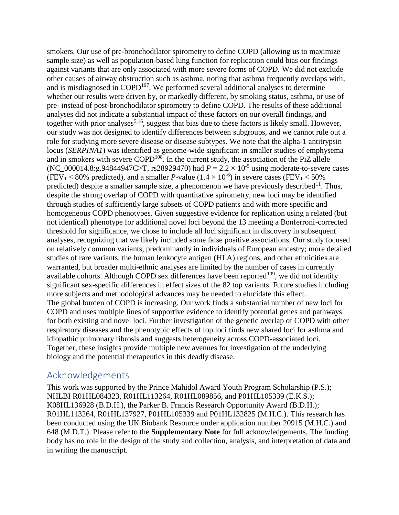smokers. Our use of pre-bronchodilator spirometry to define COPD (allowing us to maximize sample size) as well as population-based lung function for replication could bias our findings against variants that are only associated with more severe forms of COPD. We did not exclude other causes of airway obstruction such as asthma, noting that asthma frequently overlaps with, and is misdiagnosed in  $\text{COPD}^{107}$ . We performed several additional analyses to determine whether our results were driven by, or markedly different, by smoking status, asthma, or use of pre- instead of post-bronchodilator spirometry to define COPD. The results of these additional analyses did not indicate a substantial impact of these factors on our overall findings, and together with prior analyses<sup>5,16</sup>, suggest that bias due to these factors is likely small. However, our study was not designed to identify differences between subgroups, and we cannot rule out a role for studying more severe disease or disease subtypes. We note that the alpha-1 antitrypsin locus (*SERPINA1*) was identified as genome-wide significant in smaller studies of emphysema and in smokers with severe  $\text{COPD}^{108}$ . In the current study, the association of the PiZ allele (NC\_000014.8:g.94844947C>T, rs28929470) had  $P = 2.2 \times 10^{-5}$  using moderate-to-severe cases (FEV<sub>1</sub> < 80% predicted), and a smaller *P*-value ( $1.4 \times 10^{-6}$ ) in severe cases (FEV<sub>1</sub> < 50%) predicted) despite a smaller sample size, a phenomenon we have previously described<sup>11</sup>. Thus, despite the strong overlap of COPD with quantitative spirometry, new loci may be identified through studies of sufficiently large subsets of COPD patients and with more specific and homogeneous COPD phenotypes. Given suggestive evidence for replication using a related (but not identical) phenotype for additional novel loci beyond the 13 meeting a Bonferroni-corrected threshold for significance, we chose to include all loci significant in discovery in subsequent analyses, recognizing that we likely included some false positive associations. Our study focused on relatively common variants, predominantly in individuals of European ancestry; more detailed studies of rare variants, the human leukocyte antigen (HLA) regions, and other ethnicities are warranted, but broader multi-ethnic analyses are limited by the number of cases in currently available cohorts. Although COPD sex differences have been reported<sup>109</sup>, we did not identify significant sex-specific differences in effect sizes of the 82 top variants. Future studies including more subjects and methodological advances may be needed to elucidate this effect. The global burden of COPD is increasing. Our work finds a substantial number of new loci for COPD and uses multiple lines of supportive evidence to identify potential genes and pathways for both existing and novel loci. Further investigation of the genetic overlap of COPD with other respiratory diseases and the phenotypic effects of top loci finds new shared loci for asthma and idiopathic pulmonary fibrosis and suggests heterogeneity across COPD-associated loci. Together, these insights provide multiple new avenues for investigation of the underlying biology and the potential therapeutics in this deadly disease.

## Acknowledgements

This work was supported by the Prince Mahidol Award Youth Program Scholarship (P.S.); NHLBI R01HL084323, R01HL113264, R01HL089856, and P01HL105339 (E.K.S.); K08HL136928 (B.D.H.), the Parker B. Francis Research Opportunity Award (B.D.H.); R01HL113264, R01HL137927, P01HL105339 and P01HL132825 (M.H.C.). This research has been conducted using the UK Biobank Resource under application number 20915 (M.H.C.) and 648 (M.D.T.). Please refer to the **Supplementary Note** for full acknowledgements. The funding body has no role in the design of the study and collection, analysis, and interpretation of data and in writing the manuscript.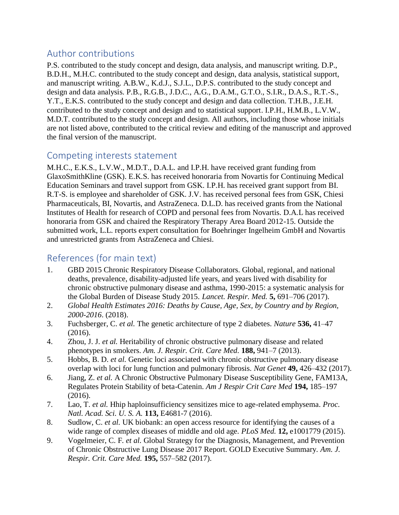# Author contributions

P.S. contributed to the study concept and design, data analysis, and manuscript writing. D.P., B.D.H., M.H.C. contributed to the study concept and design, data analysis, statistical support, and manuscript writing. A.B.W., K.d.J., S.J.L., D.P.S. contributed to the study concept and design and data analysis. P.B., R.G.B., J.D.C., A.G., D.A.M., G.T.O., S.I.R., D.A.S., R.T.-S., Y.T., E.K.S. contributed to the study concept and design and data collection. T.H.B., J.E.H. contributed to the study concept and design and to statistical support. I.P.H., H.M.B., L.V.W., M.D.T. contributed to the study concept and design. All authors, including those whose initials are not listed above, contributed to the critical review and editing of the manuscript and approved the final version of the manuscript.

# Competing interests statement

M.H.C., E.K.S., L.V.W., M.D.T., D.A.L. and I.P.H. have received grant funding from GlaxoSmithKline (GSK). E.K.S. has received honoraria from Novartis for Continuing Medical Education Seminars and travel support from GSK. I.P.H. has received grant support from BI. R.T-S. is employee and shareholder of GSK. J.V. has received personal fees from GSK, Chiesi Pharmaceuticals, BI, Novartis, and AstraZeneca. D.L.D. has received grants from the National Institutes of Health for research of COPD and personal fees from Novartis. D.A.L has received honoraria from GSK and chaired the Respiratory Therapy Area Board 2012-15. Outside the submitted work, L.L. reports expert consultation for Boehringer Ingelheim GmbH and Novartis and unrestricted grants from AstraZeneca and Chiesi.

# References (for main text)

- 1. GBD 2015 Chronic Respiratory Disease Collaborators. Global, regional, and national deaths, prevalence, disability-adjusted life years, and years lived with disability for chronic obstructive pulmonary disease and asthma, 1990-2015: a systematic analysis for the Global Burden of Disease Study 2015. *Lancet. Respir. Med.* **5,** 691–706 (2017).
- 2. *Global Health Estimates 2016: Deaths by Cause, Age, Sex, by Country and by Region, 2000-2016*. (2018).
- 3. Fuchsberger, C. *et al.* The genetic architecture of type 2 diabetes. *Nature* **536,** 41–47 (2016).
- 4. Zhou, J. J. *et al.* Heritability of chronic obstructive pulmonary disease and related phenotypes in smokers. *Am. J. Respir. Crit. Care Med.* **188,** 941–7 (2013).
- 5. Hobbs, B. D. *et al.* Genetic loci associated with chronic obstructive pulmonary disease overlap with loci for lung function and pulmonary fibrosis. *Nat Genet* **49,** 426–432 (2017).
- 6. Jiang, Z. *et al.* A Chronic Obstructive Pulmonary Disease Susceptibility Gene, FAM13A, Regulates Protein Stability of beta-Catenin. *Am J Respir Crit Care Med* **194,** 185–197 (2016).
- 7. Lao, T. *et al.* Hhip haploinsufficiency sensitizes mice to age-related emphysema. *Proc. Natl. Acad. Sci. U. S. A.* **113,** E4681-7 (2016).
- 8. Sudlow, C. *et al.* UK biobank: an open access resource for identifying the causes of a wide range of complex diseases of middle and old age. *PLoS Med.* **12,** e1001779 (2015).
- 9. Vogelmeier, C. F. *et al.* Global Strategy for the Diagnosis, Management, and Prevention of Chronic Obstructive Lung Disease 2017 Report. GOLD Executive Summary. *Am. J. Respir. Crit. Care Med.* **195,** 557–582 (2017).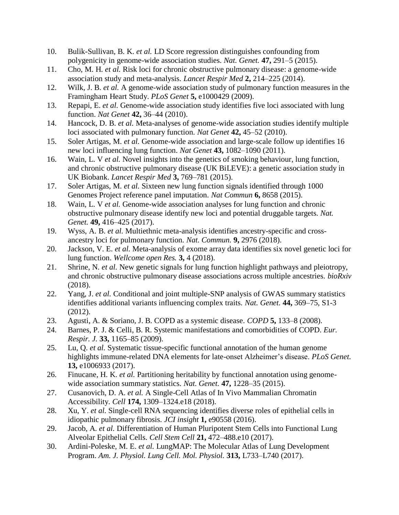- 10. Bulik-Sullivan, B. K. *et al.* LD Score regression distinguishes confounding from polygenicity in genome-wide association studies. *Nat. Genet.* **47,** 291–5 (2015).
- 11. Cho, M. H. *et al.* Risk loci for chronic obstructive pulmonary disease: a genome-wide association study and meta-analysis. *Lancet Respir Med* **2,** 214–225 (2014).
- 12. Wilk, J. B. *et al.* A genome-wide association study of pulmonary function measures in the Framingham Heart Study. *PLoS Genet* **5,** e1000429 (2009).
- 13. Repapi, E. *et al.* Genome-wide association study identifies five loci associated with lung function. *Nat Genet* **42,** 36–44 (2010).
- 14. Hancock, D. B. *et al.* Meta-analyses of genome-wide association studies identify multiple loci associated with pulmonary function. *Nat Genet* **42,** 45–52 (2010).
- 15. Soler Artigas, M. *et al.* Genome-wide association and large-scale follow up identifies 16 new loci influencing lung function. *Nat Genet* **43,** 1082–1090 (2011).
- 16. Wain, L. V *et al.* Novel insights into the genetics of smoking behaviour, lung function, and chronic obstructive pulmonary disease (UK BiLEVE): a genetic association study in UK Biobank. *Lancet Respir Med* **3,** 769–781 (2015).
- 17. Soler Artigas, M. *et al.* Sixteen new lung function signals identified through 1000 Genomes Project reference panel imputation. *Nat Commun* **6,** 8658 (2015).
- 18. Wain, L. V *et al.* Genome-wide association analyses for lung function and chronic obstructive pulmonary disease identify new loci and potential druggable targets. *Nat. Genet.* **49,** 416–425 (2017).
- 19. Wyss, A. B. *et al.* Multiethnic meta-analysis identifies ancestry-specific and crossancestry loci for pulmonary function. *Nat. Commun.* **9,** 2976 (2018).
- 20. Jackson, V. E. *et al.* Meta-analysis of exome array data identifies six novel genetic loci for lung function. *Wellcome open Res.* **3,** 4 (2018).
- 21. Shrine, N. *et al.* New genetic signals for lung function highlight pathways and pleiotropy, and chronic obstructive pulmonary disease associations across multiple ancestries. *bioRxiv* (2018).
- 22. Yang, J. *et al.* Conditional and joint multiple-SNP analysis of GWAS summary statistics identifies additional variants influencing complex traits. *Nat. Genet.* **44,** 369–75, S1-3 (2012).
- 23. Agusti, A. & Soriano, J. B. COPD as a systemic disease. *COPD* **5,** 133–8 (2008).
- 24. Barnes, P. J. & Celli, B. R. Systemic manifestations and comorbidities of COPD. *Eur. Respir. J.* **33,** 1165–85 (2009).
- 25. Lu, Q. *et al.* Systematic tissue-specific functional annotation of the human genome highlights immune-related DNA elements for late-onset Alzheimer's disease. *PLoS Genet.* **13,** e1006933 (2017).
- 26. Finucane, H. K. *et al.* Partitioning heritability by functional annotation using genomewide association summary statistics. *Nat. Genet.* **47,** 1228–35 (2015).
- 27. Cusanovich, D. A. *et al.* A Single-Cell Atlas of In Vivo Mammalian Chromatin Accessibility. *Cell* **174,** 1309–1324.e18 (2018).
- 28. Xu, Y. *et al.* Single-cell RNA sequencing identifies diverse roles of epithelial cells in idiopathic pulmonary fibrosis. *JCI insight* **1,** e90558 (2016).
- 29. Jacob, A. *et al.* Differentiation of Human Pluripotent Stem Cells into Functional Lung Alveolar Epithelial Cells. *Cell Stem Cell* **21,** 472–488.e10 (2017).
- 30. Ardini-Poleske, M. E. *et al.* LungMAP: The Molecular Atlas of Lung Development Program. *Am. J. Physiol. Lung Cell. Mol. Physiol.* **313,** L733–L740 (2017).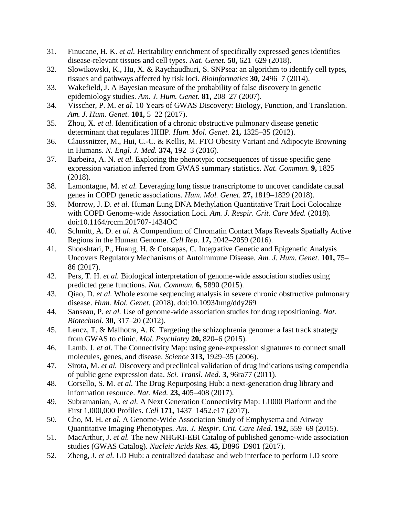- 31. Finucane, H. K. *et al.* Heritability enrichment of specifically expressed genes identifies disease-relevant tissues and cell types. *Nat. Genet.* **50,** 621–629 (2018).
- 32. Slowikowski, K., Hu, X. & Raychaudhuri, S. SNPsea: an algorithm to identify cell types, tissues and pathways affected by risk loci. *Bioinformatics* **30,** 2496–7 (2014).
- 33. Wakefield, J. A Bayesian measure of the probability of false discovery in genetic epidemiology studies. *Am. J. Hum. Genet.* **81,** 208–27 (2007).
- 34. Visscher, P. M. *et al.* 10 Years of GWAS Discovery: Biology, Function, and Translation. *Am. J. Hum. Genet.* **101,** 5–22 (2017).
- 35. Zhou, X. *et al.* Identification of a chronic obstructive pulmonary disease genetic determinant that regulates HHIP. *Hum. Mol. Genet.* **21,** 1325–35 (2012).
- 36. Claussnitzer, M., Hui, C.-C. & Kellis, M. FTO Obesity Variant and Adipocyte Browning in Humans. *N. Engl. J. Med.* **374,** 192–3 (2016).
- 37. Barbeira, A. N. *et al.* Exploring the phenotypic consequences of tissue specific gene expression variation inferred from GWAS summary statistics. *Nat. Commun.* **9,** 1825 (2018).
- 38. Lamontagne, M. *et al.* Leveraging lung tissue transcriptome to uncover candidate causal genes in COPD genetic associations. *Hum. Mol. Genet.* **27,** 1819–1829 (2018).
- 39. Morrow, J. D. *et al.* Human Lung DNA Methylation Quantitative Trait Loci Colocalize with COPD Genome-wide Association Loci. *Am. J. Respir. Crit. Care Med.* (2018). doi:10.1164/rccm.201707-1434OC
- 40. Schmitt, A. D. *et al.* A Compendium of Chromatin Contact Maps Reveals Spatially Active Regions in the Human Genome. *Cell Rep.* **17,** 2042–2059 (2016).
- 41. Shooshtari, P., Huang, H. & Cotsapas, C. Integrative Genetic and Epigenetic Analysis Uncovers Regulatory Mechanisms of Autoimmune Disease. *Am. J. Hum. Genet.* **101,** 75– 86 (2017).
- 42. Pers, T. H. *et al.* Biological interpretation of genome-wide association studies using predicted gene functions. *Nat. Commun.* **6,** 5890 (2015).
- 43. Qiao, D. *et al.* Whole exome sequencing analysis in severe chronic obstructive pulmonary disease. *Hum. Mol. Genet.* (2018). doi:10.1093/hmg/ddy269
- 44. Sanseau, P. *et al.* Use of genome-wide association studies for drug repositioning. *Nat. Biotechnol.* **30,** 317–20 (2012).
- 45. Lencz, T. & Malhotra, A. K. Targeting the schizophrenia genome: a fast track strategy from GWAS to clinic. *Mol. Psychiatry* **20,** 820–6 (2015).
- 46. Lamb, J. *et al.* The Connectivity Map: using gene-expression signatures to connect small molecules, genes, and disease. *Science* **313,** 1929–35 (2006).
- 47. Sirota, M. *et al.* Discovery and preclinical validation of drug indications using compendia of public gene expression data. *Sci. Transl. Med.* **3,** 96ra77 (2011).
- 48. Corsello, S. M. *et al.* The Drug Repurposing Hub: a next-generation drug library and information resource. *Nat. Med.* **23,** 405–408 (2017).
- 49. Subramanian, A. *et al.* A Next Generation Connectivity Map: L1000 Platform and the First 1,000,000 Profiles. *Cell* **171,** 1437–1452.e17 (2017).
- 50. Cho, M. H. *et al.* A Genome-Wide Association Study of Emphysema and Airway Quantitative Imaging Phenotypes. *Am. J. Respir. Crit. Care Med.* **192,** 559–69 (2015).
- 51. MacArthur, J. *et al.* The new NHGRI-EBI Catalog of published genome-wide association studies (GWAS Catalog). *Nucleic Acids Res.* **45,** D896–D901 (2017).
- 52. Zheng, J. *et al.* LD Hub: a centralized database and web interface to perform LD score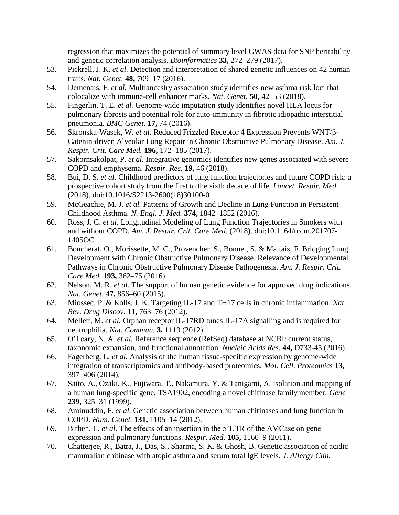regression that maximizes the potential of summary level GWAS data for SNP heritability and genetic correlation analysis. *Bioinformatics* **33,** 272–279 (2017).

- 53. Pickrell, J. K. *et al.* Detection and interpretation of shared genetic influences on 42 human traits. *Nat. Genet.* **48,** 709–17 (2016).
- 54. Demenais, F. *et al.* Multiancestry association study identifies new asthma risk loci that colocalize with immune-cell enhancer marks. *Nat. Genet.* **50,** 42–53 (2018).
- 55. Fingerlin, T. E. *et al.* Genome-wide imputation study identifies novel HLA locus for pulmonary fibrosis and potential role for auto-immunity in fibrotic idiopathic interstitial pneumonia. *BMC Genet.* **17,** 74 (2016).
- 56. Skronska-Wasek, W. *et al.* Reduced Frizzled Receptor 4 Expression Prevents WNT/β-Catenin-driven Alveolar Lung Repair in Chronic Obstructive Pulmonary Disease. *Am. J. Respir. Crit. Care Med.* **196,** 172–185 (2017).
- 57. Sakornsakolpat, P. *et al.* Integrative genomics identifies new genes associated with severe COPD and emphysema. *Respir. Res.* **19,** 46 (2018).
- 58. Bui, D. S. *et al.* Childhood predictors of lung function trajectories and future COPD risk: a prospective cohort study from the first to the sixth decade of life. *Lancet. Respir. Med.* (2018). doi:10.1016/S2213-2600(18)30100-0
- 59. McGeachie, M. J. *et al.* Patterns of Growth and Decline in Lung Function in Persistent Childhood Asthma. *N. Engl. J. Med.* **374,** 1842–1852 (2016).
- 60. Ross, J. C. *et al.* Longitudinal Modeling of Lung Function Trajectories in Smokers with and without COPD. *Am. J. Respir. Crit. Care Med.* (2018). doi:10.1164/rccm.201707- 1405OC
- 61. Boucherat, O., Morissette, M. C., Provencher, S., Bonnet, S. & Maltais, F. Bridging Lung Development with Chronic Obstructive Pulmonary Disease. Relevance of Developmental Pathways in Chronic Obstructive Pulmonary Disease Pathogenesis. *Am. J. Respir. Crit. Care Med.* **193,** 362–75 (2016).
- 62. Nelson, M. R. *et al.* The support of human genetic evidence for approved drug indications. *Nat. Genet.* **47,** 856–60 (2015).
- 63. Miossec, P. & Kolls, J. K. Targeting IL-17 and TH17 cells in chronic inflammation. *Nat. Rev. Drug Discov.* **11,** 763–76 (2012).
- 64. Mellett, M. *et al.* Orphan receptor IL-17RD tunes IL-17A signalling and is required for neutrophilia. *Nat. Commun.* **3,** 1119 (2012).
- 65. O'Leary, N. A. *et al.* Reference sequence (RefSeq) database at NCBI: current status, taxonomic expansion, and functional annotation. *Nucleic Acids Res.* **44,** D733-45 (2016).
- 66. Fagerberg, L. *et al.* Analysis of the human tissue-specific expression by genome-wide integration of transcriptomics and antibody-based proteomics. *Mol. Cell. Proteomics* **13,** 397–406 (2014).
- 67. Saito, A., Ozaki, K., Fujiwara, T., Nakamura, Y. & Tanigami, A. Isolation and mapping of a human lung-specific gene, TSA1902, encoding a novel chitinase family member. *Gene* **239,** 325–31 (1999).
- 68. Aminuddin, F. *et al.* Genetic association between human chitinases and lung function in COPD. *Hum. Genet.* **131,** 1105–14 (2012).
- 69. Birben, E. *et al.* The effects of an insertion in the 5'UTR of the AMCase on gene expression and pulmonary functions. *Respir. Med.* **105,** 1160–9 (2011).
- 70. Chatterjee, R., Batra, J., Das, S., Sharma, S. K. & Ghosh, B. Genetic association of acidic mammalian chitinase with atopic asthma and serum total IgE levels. *J. Allergy Clin.*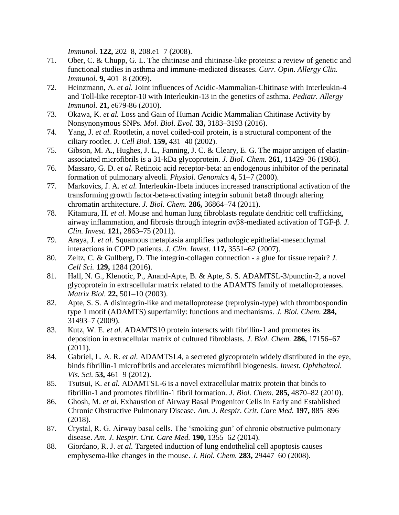*Immunol.* **122,** 202–8, 208.e1–7 (2008).

- 71. Ober, C. & Chupp, G. L. The chitinase and chitinase-like proteins: a review of genetic and functional studies in asthma and immune-mediated diseases. *Curr. Opin. Allergy Clin. Immunol.* **9,** 401–8 (2009).
- 72. Heinzmann, A. *et al.* Joint influences of Acidic-Mammalian-Chitinase with Interleukin-4 and Toll-like receptor-10 with Interleukin-13 in the genetics of asthma. *Pediatr. Allergy Immunol.* **21,** e679-86 (2010).
- 73. Okawa, K. *et al.* Loss and Gain of Human Acidic Mammalian Chitinase Activity by Nonsynonymous SNPs. *Mol. Biol. Evol.* **33,** 3183–3193 (2016).
- 74. Yang, J. *et al.* Rootletin, a novel coiled-coil protein, is a structural component of the ciliary rootlet. *J. Cell Biol.* **159,** 431–40 (2002).
- 75. Gibson, M. A., Hughes, J. L., Fanning, J. C. & Cleary, E. G. The major antigen of elastinassociated microfibrils is a 31-kDa glycoprotein. *J. Biol. Chem.* **261,** 11429–36 (1986).
- 76. Massaro, G. D. *et al.* Retinoic acid receptor-beta: an endogenous inhibitor of the perinatal formation of pulmonary alveoli. *Physiol. Genomics* **4,** 51–7 (2000).
- 77. Markovics, J. A. *et al.* Interleukin-1beta induces increased transcriptional activation of the transforming growth factor-beta-activating integrin subunit beta8 through altering chromatin architecture. *J. Biol. Chem.* **286,** 36864–74 (2011).
- 78. Kitamura, H. *et al.* Mouse and human lung fibroblasts regulate dendritic cell trafficking, airway inflammation, and fibrosis through integrin αvβ8-mediated activation of TGF-β. *J. Clin. Invest.* **121,** 2863–75 (2011).
- 79. Araya, J. *et al.* Squamous metaplasia amplifies pathologic epithelial-mesenchymal interactions in COPD patients. *J. Clin. Invest.* **117,** 3551–62 (2007).
- 80. Zeltz, C. & Gullberg, D. The integrin-collagen connection a glue for tissue repair? *J. Cell Sci.* **129,** 1284 (2016).
- 81. Hall, N. G., Klenotic, P., Anand-Apte, B. & Apte, S. S. ADAMTSL-3/punctin-2, a novel glycoprotein in extracellular matrix related to the ADAMTS family of metalloproteases. *Matrix Biol.* **22,** 501–10 (2003).
- 82. Apte, S. S. A disintegrin-like and metalloprotease (reprolysin-type) with thrombospondin type 1 motif (ADAMTS) superfamily: functions and mechanisms. *J. Biol. Chem.* **284,** 31493–7 (2009).
- 83. Kutz, W. E. *et al.* ADAMTS10 protein interacts with fibrillin-1 and promotes its deposition in extracellular matrix of cultured fibroblasts. *J. Biol. Chem.* **286,** 17156–67  $(2011).$
- 84. Gabriel, L. A. R. *et al.* ADAMTSL4, a secreted glycoprotein widely distributed in the eye, binds fibrillin-1 microfibrils and accelerates microfibril biogenesis. *Invest. Ophthalmol. Vis. Sci.* **53,** 461–9 (2012).
- 85. Tsutsui, K. *et al.* ADAMTSL-6 is a novel extracellular matrix protein that binds to fibrillin-1 and promotes fibrillin-1 fibril formation. *J. Biol. Chem.* **285,** 4870–82 (2010).
- 86. Ghosh, M. *et al.* Exhaustion of Airway Basal Progenitor Cells in Early and Established Chronic Obstructive Pulmonary Disease. *Am. J. Respir. Crit. Care Med.* **197,** 885–896 (2018).
- 87. Crystal, R. G. Airway basal cells. The 'smoking gun' of chronic obstructive pulmonary disease. *Am. J. Respir. Crit. Care Med.* **190,** 1355–62 (2014).
- 88. Giordano, R. J. *et al.* Targeted induction of lung endothelial cell apoptosis causes emphysema-like changes in the mouse. *J. Biol. Chem.* **283,** 29447–60 (2008).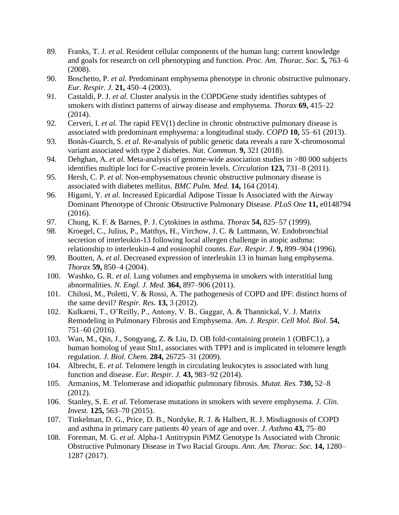- 89. Franks, T. J. *et al.* Resident cellular components of the human lung: current knowledge and goals for research on cell phenotyping and function. *Proc. Am. Thorac. Soc.* **5,** 763–6 (2008).
- 90. Boschetto, P. *et al.* Predominant emphysema phenotype in chronic obstructive pulmonary. *Eur. Respir. J.* **21,** 450–4 (2003).
- 91. Castaldi, P. J. *et al.* Cluster analysis in the COPDGene study identifies subtypes of smokers with distinct patterns of airway disease and emphysema. *Thorax* **69,** 415–22  $(2014).$
- 92. Cerveri, I. *et al.* The rapid FEV(1) decline in chronic obstructive pulmonary disease is associated with predominant emphysema: a longitudinal study. *COPD* **10,** 55–61 (2013).
- 93. Bonàs-Guarch, S. *et al.* Re-analysis of public genetic data reveals a rare X-chromosomal variant associated with type 2 diabetes. *Nat. Commun.* **9,** 321 (2018).
- 94. Dehghan, A. *et al.* Meta-analysis of genome-wide association studies in >80 000 subjects identifies multiple loci for C-reactive protein levels. *Circulation* **123,** 731–8 (2011).
- 95. Hersh, C. P. *et al.* Non-emphysematous chronic obstructive pulmonary disease is associated with diabetes mellitus. *BMC Pulm. Med.* **14,** 164 (2014).
- 96. Higami, Y. *et al.* Increased Epicardial Adipose Tissue Is Associated with the Airway Dominant Phenotype of Chronic Obstructive Pulmonary Disease. *PLoS One* **11,** e0148794 (2016).
- 97. Chung, K. F. & Barnes, P. J. Cytokines in asthma. *Thorax* **54,** 825–57 (1999).
- 98. Kroegel, C., Julius, P., Matthys, H., Virchow, J. C. & Luttmann, W. Endobronchial secretion of interleukin-13 following local allergen challenge in atopic asthma: relationship to interleukin-4 and eosinophil counts. *Eur. Respir. J.* **9,** 899–904 (1996).
- 99. Boutten, A. *et al.* Decreased expression of interleukin 13 in human lung emphysema. *Thorax* **59,** 850–4 (2004).
- 100. Washko, G. R. *et al.* Lung volumes and emphysema in smokers with interstitial lung abnormalities. *N. Engl. J. Med.* **364,** 897–906 (2011).
- 101. Chilosi, M., Poletti, V. & Rossi, A. The pathogenesis of COPD and IPF: distinct horns of the same devil? *Respir. Res.* **13,** 3 (2012).
- 102. Kulkarni, T., O'Reilly, P., Antony, V. B., Gaggar, A. & Thannickal, V. J. Matrix Remodeling in Pulmonary Fibrosis and Emphysema. *Am. J. Respir. Cell Mol. Biol.* **54,** 751–60 (2016).
- 103. Wan, M., Qin, J., Songyang, Z. & Liu, D. OB fold-containing protein 1 (OBFC1), a human homolog of yeast Stn1, associates with TPP1 and is implicated in telomere length regulation. *J. Biol. Chem.* **284,** 26725–31 (2009).
- 104. Albrecht, E. *et al.* Telomere length in circulating leukocytes is associated with lung function and disease. *Eur. Respir. J.* **43,** 983–92 (2014).
- 105. Armanios, M. Telomerase and idiopathic pulmonary fibrosis. *Mutat. Res.* **730,** 52–8 (2012).
- 106. Stanley, S. E. *et al.* Telomerase mutations in smokers with severe emphysema. *J. Clin. Invest.* **125,** 563–70 (2015).
- 107. Tinkelman, D. G., Price, D. B., Nordyke, R. J. & Halbert, R. J. Misdiagnosis of COPD and asthma in primary care patients 40 years of age and over. *J. Asthma* **43,** 75–80
- 108. Foreman, M. G. *et al.* Alpha-1 Antitrypsin PiMZ Genotype Is Associated with Chronic Obstructive Pulmonary Disease in Two Racial Groups. *Ann. Am. Thorac. Soc.* **14,** 1280– 1287 (2017).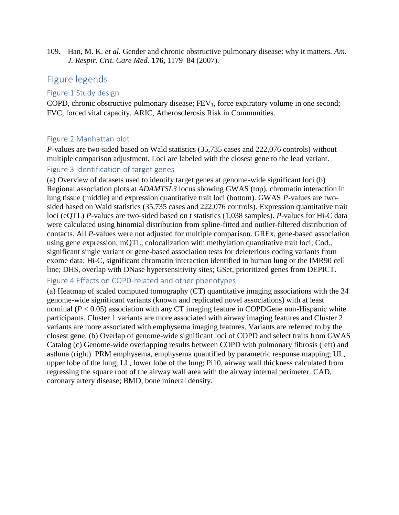109. Han, M. K. *et al.* Gender and chronic obstructive pulmonary disease: why it matters. *Am. J. Respir. Crit. Care Med.* **176,** 1179–84 (2007).

# Figure legends

### Figure 1 Study design

COPD, chronic obstructive pulmonary disease;  $FEV<sub>1</sub>$ , force expiratory volume in one second; FVC, forced vital capacity. ARIC, Atherosclerosis Risk in Communities.

## Figure 2 Manhattan plot

*P*-values are two-sided based on Wald statistics (35,735 cases and 222,076 controls) without multiple comparison adjustment. Loci are labeled with the closest gene to the lead variant.

## Figure 3 Identification of target genes

(a) Overview of datasets used to identify target genes at genome-wide significant loci (b) Regional association plots at *ADAMTSL3* locus showing GWAS (top), chromatin interaction in lung tissue (middle) and expression quantitative trait loci (bottom). GWAS *P*-values are twosided based on Wald statistics (35,735 cases and 222,076 controls). Expression quantitative trait loci (eQTL) *P*-values are two-sided based on t statistics (1,038 samples). *P*-values for Hi-C data were calculated using binomial distribution from spline-fitted and outlier-filtered distribution of contacts. All *P*-values were not adjusted for multiple comparison. GREx, gene-based association using gene expression; mQTL, colocalization with methylation quantitative trait loci; Cod., significant single variant or gene-based association tests for deleterious coding variants from exome data; Hi-C, significant chromatin interaction identified in human lung or the IMR90 cell line; DHS, overlap with DNase hypersensitivity sites; GSet, prioritized genes from DEPICT.

## Figure 4 Effects on COPD-related and other phenotypes

(a) Heatmap of scaled computed tomography (CT) quantitative imaging associations with the 34 genome-wide significant variants (known and replicated novel associations) with at least nominal  $(P < 0.05)$  association with any CT imaging feature in COPDGene non-Hispanic white participants. Cluster 1 variants are more associated with airway imaging features and Cluster 2 variants are more associated with emphysema imaging features. Variants are referred to by the closest gene. (b) Overlap of genome-wide significant loci of COPD and select traits from GWAS Catalog (c) Genome-wide overlapping results between COPD with pulmonary fibrosis (left) and asthma (right). PRM emphysema, emphysema quantified by parametric response mapping; UL, upper lobe of the lung; LL, lower lobe of the lung; Pi10, airway wall thickness calculated from regressing the square root of the airway wall area with the airway internal perimeter. CAD, coronary artery disease; BMD, bone mineral density.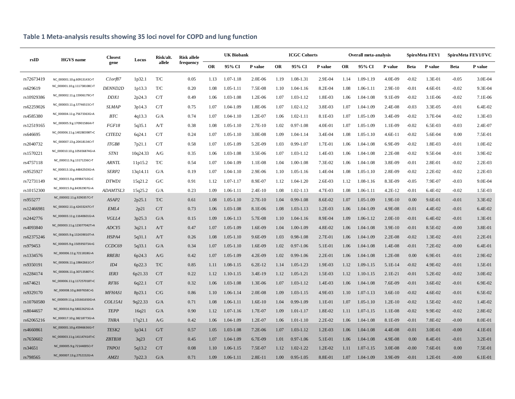| rsID       | <b>HGVS</b> name            | <b>Closest</b><br>gene | Locus    | Risk/alt.<br>allele     | <b>Risk allele</b><br>frequency | <b>UK Biobank</b> |               |           | <b>ICGC Cohorts</b> |               |             | <b>Overall meta-analysis</b> |               |           | SpiroMeta FEV1 |             | SpiroMeta FEV1/FVC |           |
|------------|-----------------------------|------------------------|----------|-------------------------|---------------------------------|-------------------|---------------|-----------|---------------------|---------------|-------------|------------------------------|---------------|-----------|----------------|-------------|--------------------|-----------|
|            |                             |                        |          |                         |                                 | <b>OR</b>         | 95% CI        | P value   | <b>OR</b>           | 95% CI        | P value     | <b>OR</b>                    | 95% CI        | P value   | <b>Beta</b>    | P value     | <b>Beta</b>        | P value   |
| rs72673419 | NC 000001.10:g.60913143C>T  | Clorf87                | 1p32.1   | T/C                     | 0.05                            | 1.13              | $1.07 - 1.18$ | 2.0E-06   | 1.19                | 1.08-1.31     | 2.9E-04     | 1.14                         | 1.09-1.19     | 4.0E-09   | $-0.02$        | 1.3E-01     | $-0.05$            | 3.0E-04   |
| rs629619   | NC_000001.10:g.111738108C>T | DENND <sub>2D</sub>    | 1p13.3   | T/C                     | 0.20                            | 1.08              | $1.05 - 1.11$ | 7.5E-08   | 1.10                | 1.04-1.16     | 8.2E-04     | 1.08                         | 1.06-1.11     | 2.9E-10   | $-0.01$        | 4.6E-01     | $-0.02$            | 9.3E-04   |
| rs10929386 | NC_000002.11:g.15906179C>T  | DDX1                   | 2p24.3   | C/T                     | 0.49                            | 1.06              | 1.03-1.08     | 1.2E-06   | 1.07                | 1.03-1.12     | 1.8E-03     | 1.06                         | 1.04-1.08     | 9.1E-09   | $-0.02$        | 3.1E-06     | $-0.02$            | 7.1E-06   |
| rs62259026 | NC_000003.11:g.57746515C>T  | <b>SLMAP</b>           | 3p14.3   | C/T                     | 0.75                            | 1.07              | 1.04-1.09     | 1.8E-06   | 1.07                | $1.02 - 1.12$ | 3.8E-03     | 1.07                         | 1.04-1.09     | 2.4E-08   | $-0.03$        | 3.3E-05     | $-0.01$            | 6.4E-02   |
| rs4585380  | NC_000004.11:g.75673363G>A  | BTC                    | 4q13.3   | G/A                     | 0.74                            | 1.07              | $1.04 - 1.10$ | 1.2E-07   | 1.06                | $1.02 - 1.11$ | 8.1E-03     | 1.07                         | 1.05-1.09     | 3.4E-09   | $-0.02$        | 3.7E-04     | $-0.02$            | 1.3E-03   |
| rs12519165 | NC_000005.9:g.170901586A>T  | FGF18                  | 5q35.1   | A/T                     | 0.38                            | 1.08              | $1.05 - 1.10$ | $2.7E-10$ | 1.02                | $0.97 - 1.08$ | 4.0E-01     | 1.07                         | 1.05-1.09     | 1.1E-09   | $-0.02$        | 6.5E-03     | $-0.03$            | 2.4E-07   |
| rs646695   | NC_000006.11:g.140280398T>C | CITED <sub>2</sub>     | 6q24.1   | C/T                     | 0.24                            | 1.07              | $1.05 - 1.10$ | 3.0E-08   | 1.09                | 1.04-1.14     | 3.4E-04     | 1.08                         | $1.05 - 1.10$ | $4.6E-11$ | $-0.02$        | 5.6E-04     | 0.00               | 7.5E-01   |
| rs2040732  | NC_000007.13:g.20418134C>T  | <b>ITGB8</b>           | 7p21.1   | C/T                     | 0.58                            | 1.07              | 1.05-1.09     | 5.2E-09   | 1.03                | 0.99-1.07     | 1.7E-01     | 1.06                         | 1.04-1.08     | 6.9E-09   | $-0.02$        | 1.8E-03     | $-0.01$            | 1.0E-02   |
| rs1570221  | NC_000010.10:g.105656874G>A | <b>STN1</b>            | 10q24.33 | A/G                     | 0.35                            | 1.06              | 1.03-1.08     | 3.5E-06   | 1.07                | 1.03-1.12     | 1.4E-03     | 1.06                         | 1.04-1.08     | $2.2E-08$ | $-0.02$        | 9.5E-04     | $-0.01$            | 3.9E-02   |
| rs4757118  | NC_000011.9:g.13171236C>T   | <b>ARNTL</b>           | 11p15.2  | T/C                     | 0.54                            | 1.07              | 1.04-1.09     | 1.1E-08   | 1.04                | 1.00-1.08     | 7.3E-02     | 1.06                         | 1.04-1.08     | 3.8E-09   | $-0.01$        | 2.8E-01     | $-0.02$            | 2.2E-03   |
| rs9525927  | NC_000013.10:g.44842503G>A  | SERP2                  | 13q14.11 | G/A                     | 0.19                            | 1.07              | 1.04-1.10     | 2.9E-06   | 1.10                | 1.05-1.16     | 1.4E-04     | 1.08                         | $1.05 - 1.10$ | 2.8E-09   | $-0.02$        | 2.2E-02     | $-0.02$            | 2.2E-03   |
| rs72731149 | NC_000015.9:g.49984710G>C   | DTWD1                  | 15q21.2  | G/C                     | 0.91                            | 1.12              | 1.07-1.17     | 8.9E-07   | 1.12                | 1.04-1.20     | 2.6E-03     | 1.12                         | 1.08-1.16     | 8.3E-09   | $-0.05$        | 7.9E-07     | $-0.03$            | 9.0E-04   |
| rs10152300 | NC_000015.9:g.84392907G>A   | ADAMTSL3               | 15q25.2  | G/A                     | 0.23                            | 1.09              | 1.06-1.11     | $2.4E-10$ | 1.08                | $1.02 - 1.13$ | 4.7E-03     | 1.08                         | 1.06-1.11     | 4.2E-12   | $-0.01$        | 6.4E-02     | $-0.02$            | 1.5E-03   |
| rs955277   | NC_000002.11:g.9290357C>T   | ASAP2                  | 2p25.1   | $\mathrm{T}/\mathrm{C}$ | 0.61                            | 1.08              | $1.05 - 1.10$ | $2.7E-10$ | 1.04                | $0.99 - 1.08$ | 8.6E-02     | 1.07                         | $1.05 - 1.09$ | 1.9E-10   | 0.00           | 9.6E-01     | $-0.01$            | 3.3E-02   |
| rs12466981 | NC_000002.11:g.42433247C>T  | EML4                   | 2p21     | C/T                     | 0.73                            | 1.06              | 1.03-1.08     | 8.1E-06   | 1.08                | $1.03 - 1.13$ | $1.2E-03$   | 1.06                         | 1.04-1.09     | 4.9E-08   | $-0.01$        | 4.4E-02     | $-0.01$            | 6.4E-02   |
| rs2442776  | NC_000003.11:g.11640601G>A  | VGLL4                  | 3p25.3   | G/A                     | 0.15                            | 1.09              | 1.06-1.13     | 5.7E-08   | 1.10                | 1.04-1.16     | 8.9E-04     | 1.09                         | 1.06-1.12     | $2.0E-10$ | $-0.01$        | 6.4E-02     | $-0.01$            | 1.3E-01   |
| rs4093840  | NC_000003.11:g.123077042T>A | ADCY5                  | 3q21.1   | A/T                     | 0.47                            | 1.07              | 1.05-1.09     | 1.6E-09   | 1.04                | 1.00-1.09     | 4.8E-02     | 1.06                         | 1.04-1.08     | 3.9E-10   | $-0.01$        | 8.5E-02     | $-0.00$            | 3.8E-01   |
| rs62375246 | NC_000005.9:g.132439010T>A  | HSPA4                  | 5q31.1   | A/T                     | 0.26                            | 1.08              | $1.05 - 1.10$ | 9.6E-09   | 1.03                | 0.98-1.08     | 2.7E-01     | 1.06                         | 1.04-1.09     | $2.2E-08$ | $-0.02$        | 1.3E-02     | $-0.01$            | 2.2E-01   |
| rs979453   | NC_000005.9:g.150595073A>G  | CCDC69                 | 5q33.1   | G/A                     | 0.34                            | 1.07              | $1.05 - 1.10$ | 1.6E-09   | 1.02                | $0.97 - 1.06$ | 5.1E-01     | 1.06                         | 1.04-1.08     | 1.4E-08   | $-0.01$        | 7.2E-02     | $-0.00$            | 6.4E-01   |
| rs1334576  | NC_000006.11:g.7211818G>A   | <b>RREB1</b>           | 6p24.3   | A/G                     | 0.42                            | 1.07              | 1.05-1.09     | 4.2E-09   | 1.02                | $0.99 - 1.06$ | $2.2E-01$   | 1.06                         | 1.04-1.08     | 1.2E-08   | 0.00           | 6.9E-01     | $-0.01$            | 2.9E-02   |
| rs9350191  | NC_000006.11:g.19842661C>T  | ID4                    | 6p22.3   | $\mathrm{T}/\mathrm{C}$ | 0.85                            | 1.11              | 1.08-1.15     | 6.2E-12   | 1.14                | 1.05-1.23     | 1.9E-03     | 1.12                         | 1.09-1.15     | 5.1E-14   | $-0.02$        | 4.9E-02     | $-0.01$            | 1.5E-01   |
| rs2284174  | NC_000006.11:g.30713580T>C  | IER3                   | 6p21.33  | C/T                     | 0.22                            | 1.12              | 1.10-1.15     | 3.4E-19   | 1.12                | $1.05 - 1.21$ | 1.5E-03     | 1.12                         | 1.10-1.15     | $2.1E-21$ | $-0.01$        | 5.2E-02     | $-0.02$            | 3.0E-02   |
| rs674621   | NC_000006.11:g.117257018T>C | RFX6                   | 6q22.1   | C/T                     | 0.32                            | 1.06              | 1.03-1.08     | 1.3E-06   | 1.07                | 1.03-1.12     | 1.4E-03     | 1.06                         | 1.04-1.08     | 7.6E-09   | $-0.01$        | 3.6E-02     | $-0.01$            | 6.9E-02   |
| rs9329170  | NC_000008.10:g.8697658C>G   | <b>MFHAS1</b>          | 8p23.1   | C/G                     | 0.86                            | 1.10              | 1.06-1.14     | 2.0E-08   | 1.09                | 1.03-1.15     | 4.9E-03     | 1.10                         | 1.07-1.13     | $3.6E-10$ | $-0.02$        | 4.6E-02     | $-0.01$            | 6.5E-02   |
| rs10760580 | NC_000009.11:g.101661650G>A | COL15A1                | 9q22.33  | G/A                     | 0.71                            | 1.08              | 1.06-1.11     | $1.6E-10$ | 1.04                | $0.99 - 1.09$ | 1.1E-01     | 1.07                         | $1.05 - 1.10$ | $1.2E-10$ | $-0.02$        | 1.5E-02     | $-0.02$            | 1.4E-02   |
| rs8044657  | NC_000016.9:g.58022625G>A   | <b>TEPP</b>            | 16q21    | G/A                     | 0.90                            | 1.12              | $1.07 - 1.16$ | 1.7E-07   | 1.09                | 1.01-1.17     | 1.8E-02     | 1.11                         | $1.07 - 1.15$ | 1.1E-08   | $-0.02$        | 9.9E-02     | $-0.02$            | 2.8E-02   |
| rs62065216 | NC_000017.10:g.38218773G>A  | <b>THRA</b>            | 17q21.1  | A/G                     | 0.42                            | 1.06              | 1.04-1.09     | 1.2E-07   | 1.06                | $1.01 - 1.10$ | $2.2E - 02$ | 1.06                         | 1.04-1.08     | 8.1E-09   | $-0.01$        | 7.8E-02     | $-0.00$            | 8.0E-01   |
| rs4660861  | NC_000001.10:g.45946636G>T  | TESK2                  | 1p34.1   | G/T                     | 0.57                            | 1.05              | 1.03-1.08     | 7.2E-06   | 1.07                | 1.03-1.12     | $1.2E-03$   | 1.06                         | 1.04-1.08     | 4.4E-08   | $-0.01$        | 3.0E-01     | $-0.00$            | 4.1E-01   |
| rs7650602  | NC_000003.11:g.141147414T>C | ZBTB38                 | 3q23     | C/T                     | 0.45                            | 1.07              | 1.04-1.09     | 6.7E-09   | 1.01                | $0.97 - 1.06$ | 5.1E-01     | 1.06                         | 1.04-1.08     | 4.9E-08   | 0.00           | 8.4E-01     | $-0.01$            | 3.2E-01   |
| rs34651    | NC_000005.9:g.72144005C>T   | <b>TNPO1</b>           | 5q13.2   | C/T                     | 0.08                            | 1.10              | 1.06-1.15     | 7.5E-07   | 1.12                | 1.02-1.22     | $1.2E - 02$ | 1.11                         | 1.07-1.15     | 3.0E-08   | $-0.00$        | 7.6E-01     | 0.00               | 7.5E-01   |
| rs798565   | NC_000007.13:g.2752152G>A   | AMZ1                   | 7p22.3   | G/A                     | 0.71                            | 1.09              | 1.06-1.11     | $2.8E-11$ | 1.00                | $0.95 - 1.05$ | 8.8E-01     | 1.07                         | 1.04-1.09     | 3.9E-09   | $-0.01$        | $1.2E - 01$ | $-0.00$            | $6.1E-01$ |

# **Table 1 Meta-analysis results showing 35 loci novel for COPD and lung function**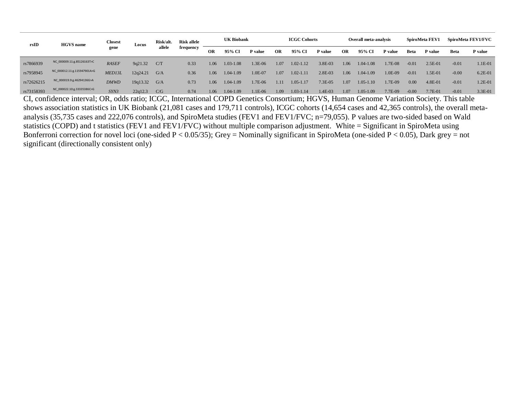| rsID       | <b>HGVS</b> name            | Closest<br>gene | Locus    | Risk/alt. | <b>Risk allele</b> | <b>UK Biobank</b> |               |                | <b>ICGC Cohorts</b> |               |            | <b>Overall meta-analysis</b> |               |         | SpiroMeta FEV1 |             | SpiroMeta FEV1/FVC |             |
|------------|-----------------------------|-----------------|----------|-----------|--------------------|-------------------|---------------|----------------|---------------------|---------------|------------|------------------------------|---------------|---------|----------------|-------------|--------------------|-------------|
|            |                             |                 |          | allele    | frequency          | OR                | 95% CI        | <b>P</b> value | OR                  | 95% CI        | P value    | OR                           | 95% CI        | P value | Beta           | P value     | Beta               | P value     |
| rs7866939  | NC_000009.11:g.85126163T>C  | <b>RASEF</b>    | 9q21.32  | C/T       | 0.33               | 1.06              | $1.03 - 1.08$ | 1.3E-06        | 1.07                | 1.02-1.12     | 3.8E-03    | 1.06                         | $1.04 - 1.08$ | 1.7E-08 | $-0.01$        | $2.5E-01$   | $-0.01$            | $1.1E-01$   |
| rs7958945  | NC 000012.11:g.115947901A>G | MED13L          | 12q24.21 | G/A       | 0.36               | 1.06              | 1.04-1.09     | 1.0E-07        | 1.07                | 1.02-1.11     | $2.8E-03$  | 1.06                         | $1.04 - 1.09$ | 1.0E-09 | $-0.01$        | 1.5E-01     | $-0.00$            | $6.2E-01$   |
| rs72626215 | NC_000019.9:g.46294136G>A   | <i>DMWD</i>     | 19q13.32 | G/A       | 0.73               | 1.06              | 1.04-1.09     | 1.7E-06        | 1.11                | $1.05 - 1.17$ | $7.3E-0.5$ | 1.07                         | $1.05 - 1.10$ | 1.7E-09 | 0.00           | $4.8E - 01$ | $-0.01$            | $1.2E - 01$ |
| rs73158393 | NC_000022.10:g.33335386C>G  | SYN3            | 22q12.3  | C/G       | 0.74               | 1.06              | 1.04-1.09     | 1.1E-06        | 1.09                | 1.03-1.14     | 1.4E-03    | 1.07                         | $1.05 - 1.09$ | 7.7E-09 | $-0.00$        | 7.7E-01     | $-0.01$            | $3.3E-01$   |

CI, confidence interval; OR, odds ratio; ICGC, International COPD Genetics Consortium; HGVS, Human Genome Variation Society. This table shows association statistics in UK Biobank (21,081 cases and 179,711 controls), ICGC cohorts (14,654 cases and 42,365 controls), the overall metaanalysis (35,735 cases and 222,076 controls), and SpiroMeta studies (FEV1 and FEV1/FVC; n=79,055). P values are two-sided based on Wald statistics (COPD) and t statistics (FEV1 and FEV1/FVC) without multiple comparison adjustment. White = Significant in SpiroMeta using Bonferroni correction for novel loci (one-sided  $P < 0.05/35$ ); Grey = Nominally significant in SpiroMeta (one-sided  $P < 0.05$ ), Dark grey = not significant (directionally consistent only)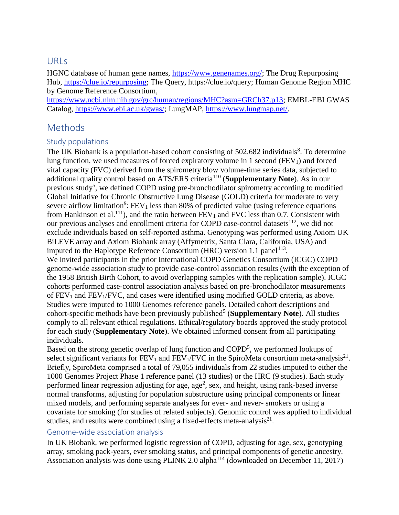## URLs

HGNC database of human gene names, [https://www.genenames.org/;](https://www.genenames.org/) The Drug Repurposing Hub, [https://clue.io/repurposing;](https://clue.io/repurposing) The Query, https://clue.io/query; Human Genome Region MHC by Genome Reference Consortium,

[https://www.ncbi.nlm.nih.gov/grc/human/regions/MHC?asm=GRCh37.p13;](https://www.ncbi.nlm.nih.gov/grc/human/regions/MHC?asm=GRCh37.p13) EMBL-EBI GWAS Catalog, [https://www.ebi.ac.uk/gwas/;](https://www.ebi.ac.uk/gwas/) LungMAP, [https://www.lungmap.net/.](https://www.lungmap.net/)

# Methods

## Study populations

The UK Biobank is a population-based cohort consisting of 502,682 individuals<sup>8</sup>. To determine lung function, we used measures of forced expiratory volume in 1 second  $(FEV_1)$  and forced vital capacity (FVC) derived from the spirometry blow volume-time series data, subjected to additional quality control based on ATS/ERS criteria<sup>110</sup> (**Supplementary Note**). As in our previous study<sup>5</sup>, we defined COPD using pre-bronchodilator spirometry according to modified Global Initiative for Chronic Obstructive Lung Disease (GOLD) criteria for moderate to very severe airflow limitation<sup>9</sup>:  $FEV_1$  less than 80% of predicted value (using reference equations from Hankinson et al.<sup>111</sup>), and the ratio between  $FEV_1$  and  $FVC$  less than 0.7. Consistent with our previous analyses and enrollment criteria for COPD case-control datasets<sup>112</sup>, we did not exclude individuals based on self-reported asthma. Genotyping was performed using Axiom UK BiLEVE array and Axiom Biobank array (Affymetrix, Santa Clara, California, USA) and imputed to the Haplotype Reference Consortium (HRC) version 1.1 panel<sup>113</sup>. We invited participants in the prior International COPD Genetics Consortium (ICGC) COPD genome-wide association study to provide case-control association results (with the exception of the 1958 British Birth Cohort, to avoid overlapping samples with the replication sample). ICGC cohorts performed case-control association analysis based on pre-bronchodilator measurements of  $FEV<sub>1</sub>$  and  $FEV<sub>1</sub>/FVC$ , and cases were identified using modified GOLD criteria, as above. Studies were imputed to 1000 Genomes reference panels. Detailed cohort descriptions and cohort-specific methods have been previously published<sup>5</sup> (Supplementary Note). All studies comply to all relevant ethical regulations. Ethical/regulatory boards approved the study protocol for each study (**Supplementary Note**). We obtained informed consent from all participating individuals.

Based on the strong genetic overlap of lung function and COPD<sup>5</sup>, we performed lookups of select significant variants for  $FEV_1$  and  $FEV_1/FVC$  in the SpiroMeta consortium meta-analysis<sup>21</sup>. Briefly, SpiroMeta comprised a total of 79,055 individuals from 22 studies imputed to either the 1000 Genomes Project Phase 1 reference panel (13 studies) or the HRC (9 studies). Each study performed linear regression adjusting for age, age<sup>2</sup>, sex, and height, using rank-based inverse normal transforms, adjusting for population substructure using principal components or linear mixed models, and performing separate analyses for ever- and never- smokers or using a covariate for smoking (for studies of related subjects). Genomic control was applied to individual studies, and results were combined using a fixed-effects meta-analysis $^{21}$ .

### Genome-wide association analysis

In UK Biobank, we performed logistic regression of COPD, adjusting for age, sex, genotyping array, smoking pack-years, ever smoking status, and principal components of genetic ancestry. Association analysis was done using PLINK 2.0 alpha<sup>114</sup> (downloaded on December 11, 2017)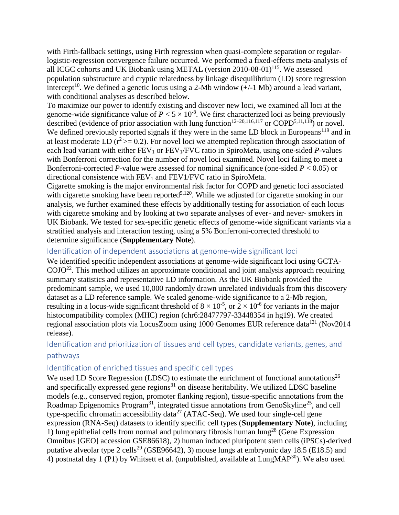with Firth-fallback settings, using Firth regression when quasi-complete separation or regularlogistic-regression convergence failure occurred. We performed a fixed-effects meta-analysis of all ICGC cohorts and UK Biobank using METAL (version  $2010-08-01$ )<sup>115</sup>. We assessed population substructure and cryptic relatedness by linkage disequilibrium (LD) score regression intercept<sup>10</sup>. We defined a genetic locus using a 2-Mb window  $(+/-1$  Mb) around a lead variant, with conditional analyses as described below.

To maximize our power to identify existing and discover new loci, we examined all loci at the genome-wide significance value of  $P < 5 \times 10^{-8}$ . We first characterized loci as being previously described (evidence of prior association with lung function<sup>12–20,116,117</sup> or COPD<sup>5,11,118</sup>) or novel. We defined previously reported signals if they were in the same LD block in Europeans<sup>119</sup> and in at least moderate LD  $(r^2 \ge 0.2)$ . For novel loci we attempted replication through association of each lead variant with either FEV<sub>1</sub> or FEV<sub>1</sub>/FVC ratio in SpiroMeta, using one-sided *P*-values with Bonferroni correction for the number of novel loci examined. Novel loci failing to meet a Bonferroni-corrected *P*-value were assessed for nominal significance (one-sided *P* < 0.05) or directional consistence with  $FEV<sub>1</sub>$  and  $FEV<sub>1</sub>/FVC$  ratio in SpiroMeta.

Cigarette smoking is the major environmental risk factor for COPD and genetic loci associated with cigarette smoking have been reported<sup>5,120</sup>. While we adjusted for cigarette smoking in our analysis, we further examined these effects by additionally testing for association of each locus with cigarette smoking and by looking at two separate analyses of ever- and never- smokers in UK Biobank. We tested for sex-specific genetic effects of genome-wide significant variants via a stratified analysis and interaction testing, using a 5% Bonferroni-corrected threshold to determine significance (**Supplementary Note**).

#### Identification of independent associations at genome-wide significant loci

We identified specific independent associations at genome-wide significant loci using GCTA- $COJO^{22}$ . This method utilizes an approximate conditional and joint analysis approach requiring summary statistics and representative LD information. As the UK Biobank provided the predominant sample, we used 10,000 randomly drawn unrelated individuals from this discovery dataset as a LD reference sample. We scaled genome-wide significance to a 2-Mb region, resulting in a locus-wide significant threshold of  $8 \times 10^{-5}$ , or  $2 \times 10^{-6}$  for variants in the major histocompatibility complex (MHC) region (chr6:28477797-33448354 in hg19). We created regional association plots via LocusZoom using 1000 Genomes EUR reference data<sup>121</sup> (Nov2014 release).

## Identification and prioritization of tissues and cell types, candidate variants, genes, and pathways

### Identification of enriched tissues and specific cell types

We used LD Score Regression (LDSC) to estimate the enrichment of functional annotations<sup>26</sup> and specifically expressed gene regions<sup>31</sup> on disease heritability. We utilized LDSC baseline models (e.g., conserved region, promoter flanking region), tissue-specific annotations from the Roadmap Epigenomics Program<sup>31</sup>, integrated tissue annotations from GenoSkyline<sup>25</sup>, and cell type-specific chromatin accessibility data<sup>27</sup> (ATAC-Seq). We used four single-cell gene expression (RNA-Seq) datasets to identify specific cell types (**Supplementary Note**), including 1) lung epithelial cells from normal and pulmonary fibrosis human lung<sup>28</sup> (Gene Expression Omnibus [GEO] accession GSE86618), 2) human induced pluripotent stem cells (iPSCs)-derived putative alveolar type 2 cells<sup>29</sup> (GSE96642), 3) mouse lungs at embryonic day 18.5 (E18.5) and 4) postnatal day 1 (P1) by Whitsett et al. (unpublished, available at LungMAP<sup>30</sup>). We also used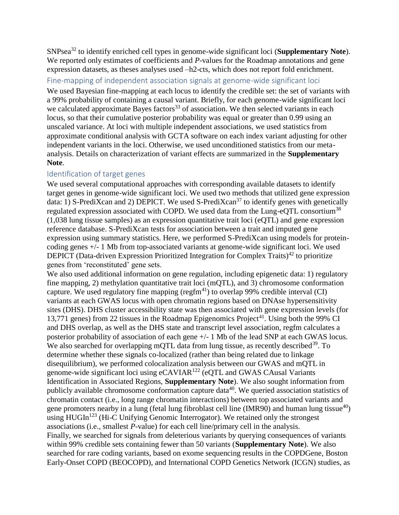SNPsea<sup>32</sup> to identify enriched cell types in genome-wide significant loci (**Supplementary Note**). We reported only estimates of coefficients and *P*-values for the Roadmap annotations and gene expression datasets, as theses analyses used –h2-cts, which does not report fold enrichment.

Fine-mapping of independent association signals at genome-wide significant loci

We used Bayesian fine-mapping at each locus to identify the credible set: the set of variants with a 99% probability of containing a causal variant. Briefly, for each genome-wide significant loci we calculated approximate Bayes factors<sup>33</sup> of association. We then selected variants in each locus, so that their cumulative posterior probability was equal or greater than 0.99 using an unscaled variance. At loci with multiple independent associations, we used statistics from approximate conditional analysis with GCTA software on each index variant adjusting for other independent variants in the loci. Otherwise, we used unconditioned statistics from our metaanalysis. Details on characterization of variant effects are summarized in the **Supplementary Note**.

## Identification of target genes

We used several computational approaches with corresponding available datasets to identify target genes in genome-wide significant loci. We used two methods that utilized gene expression data: 1) S-PrediXcan and 2) DEPICT. We used S-PrediXcan<sup>37</sup> to identify genes with genetically regulated expression associated with COPD. We used data from the Lung-eQTL consortium<sup>38</sup> (1,038 lung tissue samples) as an expression quantitative trait loci (eQTL) and gene expression reference database. S-PrediXcan tests for association between a trait and imputed gene expression using summary statistics. Here, we performed S-PrediXcan using models for proteincoding genes +/- 1 Mb from top-associated variants at genome-wide significant loci. We used DEPICT (Data-driven Expression Prioritized Integration for Complex Traits)<sup>42</sup> to prioritize genes from 'reconstituted' gene sets.

We also used additional information on gene regulation, including epigenetic data: 1) regulatory fine mapping, 2) methylation quantitative trait loci (mQTL), and 3) chromosome conformation capture. We used regulatory fine mapping (regfm $^{41}$ ) to overlap 99% credible interval (CI) variants at each GWAS locus with open chromatin regions based on DNAse hypersensitivity sites (DHS). DHS cluster accessibility state was then associated with gene expression levels (for 13,771 genes) from 22 tissues in the Roadmap Epigenomics Project<sup>41</sup>. Using both the 99% CI and DHS overlap, as well as the DHS state and transcript level association, regfm calculates a posterior probability of association of each gene +/- 1 Mb of the lead SNP at each GWAS locus. We also searched for overlapping mQTL data from lung tissue, as recently described  $39$ . To determine whether these signals co-localized (rather than being related due to linkage disequilibrium), we performed colocalization analysis between our GWAS and mQTL in genome-wide significant loci using eCAVIAR<sup>122</sup> (eQTL and GWAS CAusal Variants Identification in Associated Regions, **Supplementary Note**). We also sought information from publicly available chromosome conformation capture data<sup>40</sup>. We queried association statistics of chromatin contact (i.e., long range chromatin interactions) between top associated variants and gene promoters nearby in a lung (fetal lung fibroblast cell line (IMR90) and human lung tissue<sup>40</sup>) using  $HUGIn<sup>123</sup>$  (Hi-C Unifying Genomic Interrogator). We retained only the strongest associations (i.e., smallest *P*-value) for each cell line/primary cell in the analysis. Finally, we searched for signals from deleterious variants by querying consequences of variants within 99% credible sets containing fewer than 50 variants (**Supplementary Note**). We also searched for rare coding variants, based on exome sequencing results in the COPDGene, Boston Early-Onset COPD (BEOCOPD), and International COPD Genetics Network (ICGN) studies, as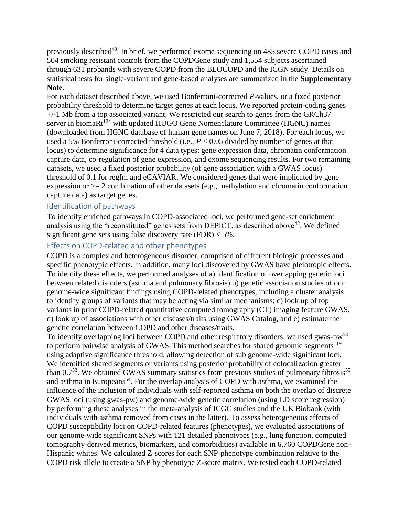previously described<sup>43</sup>. In brief, we performed exome sequencing on 485 severe COPD cases and 504 smoking resistant controls from the COPDGene study and 1,554 subjects ascertained through 631 probands with severe COPD from the BEOCOPD and the ICGN study. Details on statistical tests for single-variant and gene-based analyses are summarized in the **Supplementary Note**.

For each dataset described above, we used Bonferroni-corrected *P*-values, or a fixed posterior probability threshold to determine target genes at each locus. We reported protein-coding genes +/-1 Mb from a top associated variant. We restricted our search to genes from the GRCh37 server in bioma $Rt^{1/2}$  with updated HUGO Gene Nomenclature Committee (HGNC) names (downloaded from HGNC database of human gene names on June 7, 2018). For each locus, we used a 5% Bonferroni-corrected threshold (i.e., *P* < 0.05 divided by number of genes at that locus) to determine significance for 4 data types: gene expression data, chromatin conformation capture data, co-regulation of gene expression, and exome sequencing results. For two remaining datasets, we used a fixed posterior probability (of gene association with a GWAS locus) threshold of 0.1 for regfm and eCAVIAR. We considered genes that were implicated by gene expression or  $\geq$  2 combination of other datasets (e.g., methylation and chromatin conformation capture data) as target genes.

#### Identification of pathways

To identify enriched pathways in COPD-associated loci, we performed gene-set enrichment analysis using the "reconstituted" genes sets from DEPICT, as described above<sup>42</sup>. We defined significant gene sets using false discovery rate  $(FDR) < 5\%$ .

#### Effects on COPD-related and other phenotypes

COPD is a complex and heterogeneous disorder, comprised of different biologic processes and specific phenotypic effects. In addition, many loci discovered by GWAS have pleiotropic effects. To identify these effects, we performed analyses of a) identification of overlapping genetic loci between related disorders (asthma and pulmonary fibrosis) b) genetic association studies of our genome-wide significant findings using COPD-related phenotypes, including a cluster analysis to identify groups of variants that may be acting via similar mechanisms; c) look up of top variants in prior COPD-related quantitative computed tomography (CT) imaging feature GWAS, d) look up of associations with other diseases/traits using GWAS Catalog, and e) estimate the genetic correlation between COPD and other diseases/traits.

To identify overlapping loci between COPD and other respiratory disorders, we used gwas-pw<sup>53</sup> to perform pairwise analysis of GWAS. This method searches for shared genomic segments<sup>119</sup> using adaptive significance threshold, allowing detection of sub genome-wide significant loci. We identified shared segments or variants using posterior probability of colocalization greater than  $0.7<sup>53</sup>$ . We obtained GWAS summary statistics from previous studies of pulmonary fibrosis<sup>55</sup> and asthma in Europeans<sup>54</sup>. For the overlap analysis of COPD with asthma, we examined the influence of the inclusion of individuals with self-reported asthma on both the overlap of discrete GWAS loci (using gwas-pw) and genome-wide genetic correlation (using LD score regression) by performing these analyses in the meta-analysis of ICGC studies and the UK Biobank (with individuals with asthma removed from cases in the latter). To assess heterogeneous effects of COPD susceptibility loci on COPD-related features (phenotypes), we evaluated associations of our genome-wide significant SNPs with 121 detailed phenotypes (e.g., lung function, computed tomography-derived metrics, biomarkers, and comorbidities) available in 6,760 COPDGene non-Hispanic whites. We calculated Z-scores for each SNP-phenotype combination relative to the COPD risk allele to create a SNP by phenotype Z-score matrix. We tested each COPD-related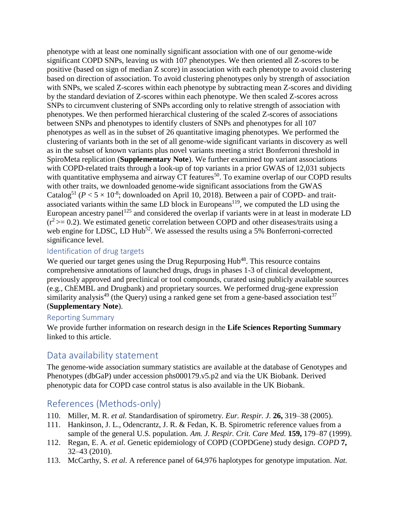phenotype with at least one nominally significant association with one of our genome-wide significant COPD SNPs, leaving us with 107 phenotypes. We then oriented all Z-scores to be positive (based on sign of median Z score) in association with each phenotype to avoid clustering based on direction of association. To avoid clustering phenotypes only by strength of association with SNPs, we scaled Z-scores within each phenotype by subtracting mean Z-scores and dividing by the standard deviation of Z-scores within each phenotype. We then scaled Z-scores across SNPs to circumvent clustering of SNPs according only to relative strength of association with phenotypes. We then performed hierarchical clustering of the scaled Z-scores of associations between SNPs and phenotypes to identify clusters of SNPs and phenotypes for all 107 phenotypes as well as in the subset of 26 quantitative imaging phenotypes. We performed the clustering of variants both in the set of all genome-wide significant variants in discovery as well as in the subset of known variants plus novel variants meeting a strict Bonferroni threshold in SpiroMeta replication (**Supplementary Note**). We further examined top variant associations with COPD-related traits through a look-up of top variants in a prior GWAS of 12,031 subjects with quantitative emphysema and airway CT features<sup>50</sup>. To examine overlap of our COPD results with other traits, we downloaded genome-wide significant associations from the GWAS Catalog<sup>51</sup> ( $P < 5 \times 10^{-8}$ ; downloaded on April 10, 2018). Between a pair of COPD- and traitassociated variants within the same LD block in Europeans<sup>119</sup>, we computed the LD using the European ancestry panel<sup>125</sup> and considered the overlap if variants were in at least in moderate LD  $(r^2 \geq 0.2)$ . We estimated genetic correlation between COPD and other diseases/traits using a web engine for LDSC, LD  $Hub<sup>52</sup>$ . We assessed the results using a 5% Bonferroni-corrected significance level.

## Identification of drug targets

We queried our target genes using the Drug Repurposing Hub<sup>48</sup>. This resource contains comprehensive annotations of launched drugs, drugs in phases 1-3 of clinical development, previously approved and preclinical or tool compounds, curated using publicly available sources (e.g., ChEMBL and Drugbank) and proprietary sources. We performed drug-gene expression similarity analysis<sup>49</sup> (the Query) using a ranked gene set from a gene-based association test<sup>37</sup> (**Supplementary Note**).

### Reporting Summary

We provide further information on research design in the **Life Sciences Reporting Summary** linked to this article.

## Data availability statement

The genome-wide association summary statistics are available at the database of Genotypes and Phenotypes (dbGaP) under accession phs000179.v5.p2 and via the UK Biobank. Derived phenotypic data for COPD case control status is also available in the UK Biobank.

# References (Methods-only)

- 110. Miller, M. R. *et al.* Standardisation of spirometry. *Eur. Respir. J.* **26,** 319–38 (2005).
- 111. Hankinson, J. L., Odencrantz, J. R. & Fedan, K. B. Spirometric reference values from a sample of the general U.S. population. *Am. J. Respir. Crit. Care Med.* **159,** 179–87 (1999).
- 112. Regan, E. A. *et al.* Genetic epidemiology of COPD (COPDGene) study design. *COPD* **7,** 32–43 (2010).
- 113. McCarthy, S. *et al.* A reference panel of 64,976 haplotypes for genotype imputation. *Nat.*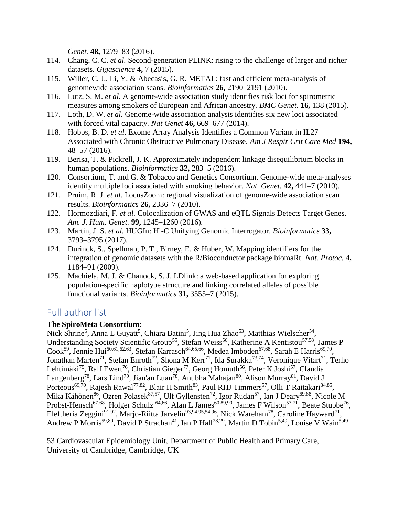*Genet.* **48,** 1279–83 (2016).

- 114. Chang, C. C. *et al.* Second-generation PLINK: rising to the challenge of larger and richer datasets. *Gigascience* **4,** 7 (2015).
- 115. Willer, C. J., Li, Y. & Abecasis, G. R. METAL: fast and efficient meta-analysis of genomewide association scans. *Bioinformatics* **26,** 2190–2191 (2010).
- 116. Lutz, S. M. *et al.* A genome-wide association study identifies risk loci for spirometric measures among smokers of European and African ancestry. *BMC Genet.* **16,** 138 (2015).
- 117. Loth, D. W. *et al.* Genome-wide association analysis identifies six new loci associated with forced vital capacity. *Nat Genet* **46,** 669–677 (2014).
- 118. Hobbs, B. D. *et al.* Exome Array Analysis Identifies a Common Variant in IL27 Associated with Chronic Obstructive Pulmonary Disease. *Am J Respir Crit Care Med* **194,** 48–57 (2016).
- 119. Berisa, T. & Pickrell, J. K. Approximately independent linkage disequilibrium blocks in human populations. *Bioinformatics* **32,** 283–5 (2016).
- 120. Consortium, T. and G. & Tobacco and Genetics Consortium. Genome-wide meta-analyses identify multiple loci associated with smoking behavior. *Nat. Genet.* **42,** 441–7 (2010).
- 121. Pruim, R. J. *et al.* LocusZoom: regional visualization of genome-wide association scan results. *Bioinformatics* **26,** 2336–7 (2010).
- 122. Hormozdiari, F. *et al.* Colocalization of GWAS and eQTL Signals Detects Target Genes. *Am. J. Hum. Genet.* **99,** 1245–1260 (2016).
- 123. Martin, J. S. *et al.* HUGIn: Hi-C Unifying Genomic Interrogator. *Bioinformatics* **33,** 3793–3795 (2017).
- 124. Durinck, S., Spellman, P. T., Birney, E. & Huber, W. Mapping identifiers for the integration of genomic datasets with the R/Bioconductor package biomaRt. *Nat. Protoc.* **4,** 1184–91 (2009).
- 125. Machiela, M. J. & Chanock, S. J. LDlink: a web-based application for exploring population-specific haplotype structure and linking correlated alleles of possible functional variants. *Bioinformatics* **31,** 3555–7 (2015).

# Full author list

## **The SpiroMeta Consortium**:

Nick Shrine<sup>5</sup>, Anna L Guyatt<sup>5</sup>, Chiara Batini<sup>5</sup>, Jing Hua Zhao<sup>53</sup>, Matthias Wielscher<sup>54</sup>, Understanding Society Scientific Group<sup>55</sup>, Stefan Weiss<sup>56</sup>, Katherine A Kentistou<sup>57,58</sup>, James P Cook<sup>59</sup>, Jennie Hui<sup>60,61,62,63</sup>, Stefan Karrasch<sup>64,65,66</sup>, Medea Imboden<sup>67,68</sup>, Sarah E Harris<sup>69,70</sup>, Jonathan Marten<sup>71</sup>, Stefan Enroth<sup>72</sup>, Shona M Kerr<sup>71</sup>, Ida Surakka<sup>73,74</sup>, Veronique Vitart<sup>71</sup>, Terho Lehtimäki<sup>75</sup>, Ralf Ewert<sup>76</sup>, Christian Gieger<sup>77</sup>, Georg Homuth<sup>56</sup>, Peter K Joshi<sup>57</sup>, Claudia Langenberg<sup>78</sup>, Lars Lind<sup>79</sup>, Jian'an Luan<sup>78</sup>, Anubha Mahajan<sup>80</sup>, Alison Murray<sup>81</sup>, David J Porteous<sup>69,70</sup>, Rajesh Rawal<sup>77,82</sup>, Blair H Smith<sup>83</sup>, Paul RHJ Timmers<sup>57</sup>, Olli T Raitakari<sup>84,85</sup>, Mika Kähönen<sup>86</sup>, Ozren Polasek<sup>87,57</sup>, Ulf Gyllensten<sup>72</sup>, Igor Rudan<sup>57</sup>, Ian J Deary<sup>69,88</sup>, Nicole M Probst-Hensch<sup>67,68</sup>, Holger Schulz <sup>64,66</sup>, Alan L James<sup>60,89,90</sup>, James F Wilson<sup>57,71</sup>, Beate Stubbe<sup>76</sup>, Eleftheria Zeggini<sup>91,92</sup>, Marjo-Riitta Jarvelin<sup>93,94,95,54,96</sup>, Nick Wareham<sup>78</sup>, Caroline Hayward<sup>71</sup>, Andrew P Morris<sup>59,80</sup>, David P Strachan<sup>41</sup>, Ian P Hall<sup>28,29</sup>, Martin D Tobin<sup>5,49</sup>, Louise V Wain<sup>5,49</sup>

53 Cardiovascular Epidemiology Unit, Department of Public Health and Primary Care, University of Cambridge, Cambridge, UK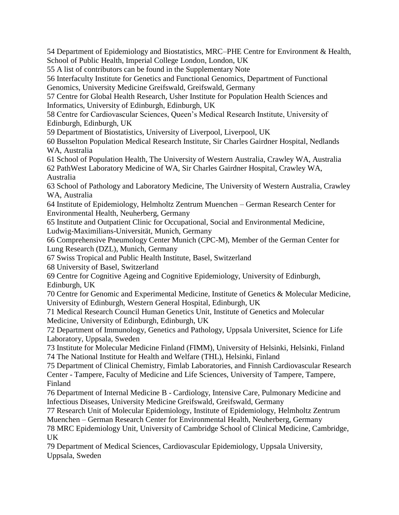54 Department of Epidemiology and Biostatistics, MRC–PHE Centre for Environment & Health, School of Public Health, Imperial College London, London, UK

55 A list of contributors can be found in the Supplementary Note

56 Interfaculty Institute for Genetics and Functional Genomics, Department of Functional Genomics, University Medicine Greifswald, Greifswald, Germany

57 Centre for Global Health Research, Usher Institute for Population Health Sciences and Informatics, University of Edinburgh, Edinburgh, UK

58 Centre for Cardiovascular Sciences, Queen's Medical Research Institute, University of Edinburgh, Edinburgh, UK

59 Department of Biostatistics, University of Liverpool, Liverpool, UK

60 Busselton Population Medical Research Institute, Sir Charles Gairdner Hospital, Nedlands WA, Australia

61 School of Population Health, The University of Western Australia, Crawley WA, Australia 62 PathWest Laboratory Medicine of WA, Sir Charles Gairdner Hospital, Crawley WA,

Australia

63 School of Pathology and Laboratory Medicine, The University of Western Australia, Crawley WA, Australia

64 Institute of Epidemiology, Helmholtz Zentrum Muenchen – German Research Center for Environmental Health, Neuherberg, Germany

65 Institute and Outpatient Clinic for Occupational, Social and Environmental Medicine, Ludwig-Maximilians-Universität, Munich, Germany

66 Comprehensive Pneumology Center Munich (CPC-M), Member of the German Center for Lung Research (DZL), Munich, Germany

67 Swiss Tropical and Public Health Institute, Basel, Switzerland

68 University of Basel, Switzerland

69 Centre for Cognitive Ageing and Cognitive Epidemiology, University of Edinburgh, Edinburgh, UK

70 Centre for Genomic and Experimental Medicine, Institute of Genetics & Molecular Medicine, University of Edinburgh, Western General Hospital, Edinburgh, UK

71 Medical Research Council Human Genetics Unit, Institute of Genetics and Molecular Medicine, University of Edinburgh, Edinburgh, UK

72 Department of Immunology, Genetics and Pathology, Uppsala Universitet, Science for Life Laboratory, Uppsala, Sweden

73 Institute for Molecular Medicine Finland (FIMM), University of Helsinki, Helsinki, Finland 74 The National Institute for Health and Welfare (THL), Helsinki, Finland

75 Department of Clinical Chemistry, Fimlab Laboratories, and Finnish Cardiovascular Research Center - Tampere, Faculty of Medicine and Life Sciences, University of Tampere, Tampere, Finland

76 Department of Internal Medicine B - Cardiology, Intensive Care, Pulmonary Medicine and Infectious Diseases, University Medicine Greifswald, Greifswald, Germany

77 Research Unit of Molecular Epidemiology, Institute of Epidemiology, Helmholtz Zentrum Muenchen – German Research Center for Environmental Health, Neuherberg, Germany

78 MRC Epidemiology Unit, University of Cambridge School of Clinical Medicine, Cambridge, UK

79 Department of Medical Sciences, Cardiovascular Epidemiology, Uppsala University, Uppsala, Sweden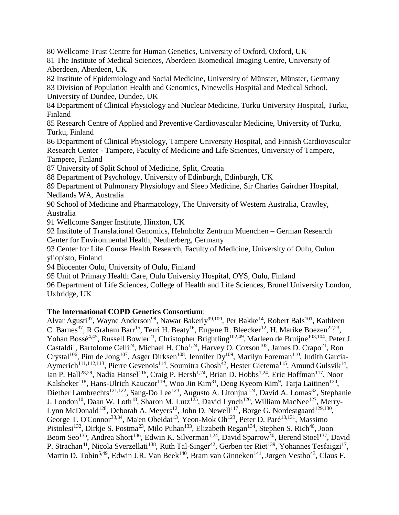80 Wellcome Trust Centre for Human Genetics, University of Oxford, Oxford, UK 81 The Institute of Medical Sciences, Aberdeen Biomedical Imaging Centre, University of Aberdeen, Aberdeen, UK

82 Institute of Epidemiology and Social Medicine, University of Münster, Münster, Germany 83 Division of Population Health and Genomics, Ninewells Hospital and Medical School, University of Dundee, Dundee, UK

84 Department of Clinical Physiology and Nuclear Medicine, Turku University Hospital, Turku, Finland

85 Research Centre of Applied and Preventive Cardiovascular Medicine, University of Turku, Turku, Finland

86 Department of Clinical Physiology, Tampere University Hospital, and Finnish Cardiovascular Research Center - Tampere, Faculty of Medicine and Life Sciences, University of Tampere, Tampere, Finland

87 University of Split School of Medicine, Split, Croatia

88 Department of Psychology, University of Edinburgh, Edinburgh, UK

89 Department of Pulmonary Physiology and Sleep Medicine, Sir Charles Gairdner Hospital, Nedlands WA, Australia

90 School of Medicine and Pharmacology, The University of Western Australia, Crawley, Australia

91 Wellcome Sanger Institute, Hinxton, UK

92 Institute of Translational Genomics, Helmholtz Zentrum Muenchen – German Research Center for Environmental Health, Neuherberg, Germany

93 Center for Life Course Health Research, Faculty of Medicine, University of Oulu, Oulun yliopisto, Finland

94 Biocenter Oulu, University of Oulu, Finland

95 Unit of Primary Health Care, Oulu University Hospital, OYS, Oulu, Finland

96 Department of Life Sciences, College of Health and Life Sciences, Brunel University London, Uxbridge, UK

## **The International COPD Genetics Consortium**:

Alvar Agusti<sup>97</sup>, Wayne Anderson<sup>98</sup>, Nawar Bakerly<sup>99,100</sup>, Per Bakke<sup>14</sup>, Robert Bals<sup>101</sup>, Kathleen C. Barnes<sup>37</sup>, R Graham Barr<sup>15</sup>, Terri H. Beaty<sup>16</sup>, Eugene R. Bleecker<sup>12</sup>, H. Marike Boezen<sup>22,23</sup>, Yohan Bossé<sup>4,45</sup>, Russell Bowler<sup>21</sup>, Christopher Brightling<sup>102,49</sup>, Marleen de Bruijne<sup>103,104</sup>, Peter J. Castaldi<sup>1</sup>, Bartolome Celli<sup>24</sup>, Michael H. Cho<sup>1,24</sup>, Harvey O. Coxson<sup>105</sup>, James D. Crapo<sup>21</sup>, Ron Crystal<sup>106</sup>, Pim de Jong<sup>107</sup>, Asger Dirksen<sup>108</sup>, Jennifer Dy<sup>109</sup>, Marilyn Foreman<sup>110</sup>, Judith Garcia-Aymerich<sup>111,112,113</sup>, Pierre Gevenois<sup>114</sup>, Soumitra Ghosh<sup>42</sup>, Hester Gietema<sup>115</sup>, Amund Gulsvik<sup>14</sup>, Ian P. Hall<sup>28,29</sup>, Nadia Hansel<sup>116</sup>, Craig P. Hersh<sup>1,24</sup>, Brian D. Hobbs<sup>1,24</sup>, Eric Hoffman<sup>117</sup>, Noor Kalsheker<sup>118</sup>, Hans-Ulrich Kauczor<sup>119</sup>, Woo Jin Kim<sup>31</sup>, Deog Kyeom Kim<sup>9</sup>, Tarja Laitinen<sup>120</sup>, Diether Lambrechts<sup>121,122</sup>, Sang-Do Lee<sup>123</sup>, Augusto A. Litonjua<sup>124</sup>, David A. Lomas<sup>32</sup>, Stephanie J. London<sup>10</sup>, Daan W. Loth<sup>18</sup>, Sharon M. Lutz<sup>125</sup>, David Lynch<sup>126</sup>, William MacNee<sup>127</sup>, Merry-Lynn McDonald<sup>128</sup>, Deborah A. Meyers<sup>12</sup>, John D. Newell<sup>117</sup>, Borge G. Nordestgaard<sup>129,130</sup>, George T. O'Connor<sup>33,34</sup>, Ma'en Obeidat<sup>13</sup>, Yeon-Mok Oh<sup>123</sup>, Peter D. Paré<sup>13,131</sup>, Massimo Pistolesi<sup>132</sup>, Dirkje S. Postma<sup>23</sup>, Milo Puhan<sup>133</sup>, Elizabeth Regan<sup>134</sup>, Stephen S. Rich<sup>46</sup>, Joon Beom Seo<sup>135</sup>, Andrea Short<sup>136</sup>, Edwin K. Silverman<sup>1,24</sup>, David Sparrow<sup>40</sup>, Berend Stoel<sup>137</sup>, David P. Strachan<sup>41</sup>, Nicola Sverzellati<sup>138</sup>, Ruth Tal-Singer<sup>42</sup>, Gerben ter Riet<sup>139</sup>, Yohannes Tesfaigzi<sup>17</sup>, Martin D. Tobin<sup>5,49</sup>, Edwin J.R. Van Beek<sup>140</sup>, Bram van Ginneken<sup>141</sup>, Jørgen Vestbo<sup>43</sup>, Claus F.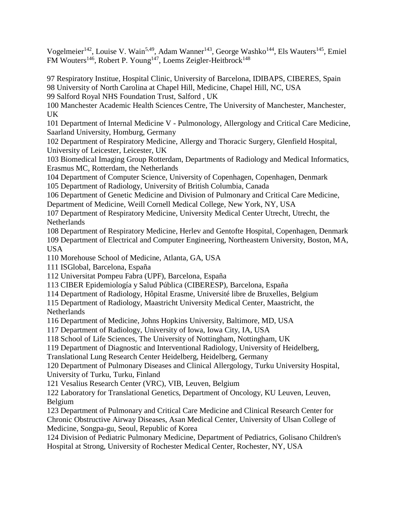Vogelmeier<sup>142</sup>, Louise V. Wain<sup>5,49</sup>, Adam Wanner<sup>143</sup>, George Washko<sup>144</sup>, Els Wauters<sup>145</sup>, Emiel FM Wouters<sup>146</sup>, Robert P. Young<sup>147</sup>, Loems Zeigler-Heitbrock<sup>148</sup>

97 Respiratory Institue, Hospital Clinic, University of Barcelona, IDIBAPS, CIBERES, Spain 98 University of North Carolina at Chapel Hill, Medicine, Chapel Hill, NC, USA 99 Salford Royal NHS Foundation Trust, Salford , UK

100 Manchester Academic Health Sciences Centre, The University of Manchester, Manchester, UK

101 Department of Internal Medicine V - Pulmonology, Allergology and Critical Care Medicine, Saarland University, Homburg, Germany

102 Department of Respiratory Medicine, Allergy and Thoracic Surgery, Glenfield Hospital, University of Leicester, Leicester, UK

103 Biomedical Imaging Group Rotterdam, Departments of Radiology and Medical Informatics, Erasmus MC, Rotterdam, the Netherlands

104 Department of Computer Science, University of Copenhagen, Copenhagen, Denmark 105 Department of Radiology, University of British Columbia, Canada

106 Department of Genetic Medicine and Division of Pulmonary and Critical Care Medicine,

Department of Medicine, Weill Cornell Medical College, New York, NY, USA

107 Department of Respiratory Medicine, University Medical Center Utrecht, Utrecht, the Netherlands

108 Department of Respiratory Medicine, Herlev and Gentofte Hospital, Copenhagen, Denmark 109 Department of Electrical and Computer Engineering, Northeastern University, Boston, MA, USA

110 Morehouse School of Medicine, Atlanta, GA, USA

111 ISGlobal, Barcelona, España

112 Universitat Pompeu Fabra (UPF), Barcelona, España

113 CIBER Epidemiología y Salud Pública (CIBERESP), Barcelona, España

114 Department of Radiology, Hôpital Erasme, Université libre de Bruxelles, Belgium

115 Department of Radiology, Maastricht University Medical Center, Maastricht, the Netherlands

116 Department of Medicine, Johns Hopkins University, Baltimore, MD, USA

117 Department of Radiology, University of Iowa, Iowa City, IA, USA

118 School of Life Sciences, The University of Nottingham, Nottingham, UK

119 Department of Diagnostic and Interventional Radiology, University of Heidelberg,

Translational Lung Research Center Heidelberg, Heidelberg, Germany

120 Department of Pulmonary Diseases and Clinical Allergology, Turku University Hospital, University of Turku, Turku, Finland

121 Vesalius Research Center (VRC), VIB, Leuven, Belgium

122 Laboratory for Translational Genetics, Department of Oncology, KU Leuven, Leuven, Belgium

123 Department of Pulmonary and Critical Care Medicine and Clinical Research Center for Chronic Obstructive Airway Diseases, Asan Medical Center, University of Ulsan College of Medicine, Songpa-gu, Seoul, Republic of Korea

124 Division of Pediatric Pulmonary Medicine, Department of Pediatrics, Golisano Children's Hospital at Strong, University of Rochester Medical Center, Rochester, NY, USA